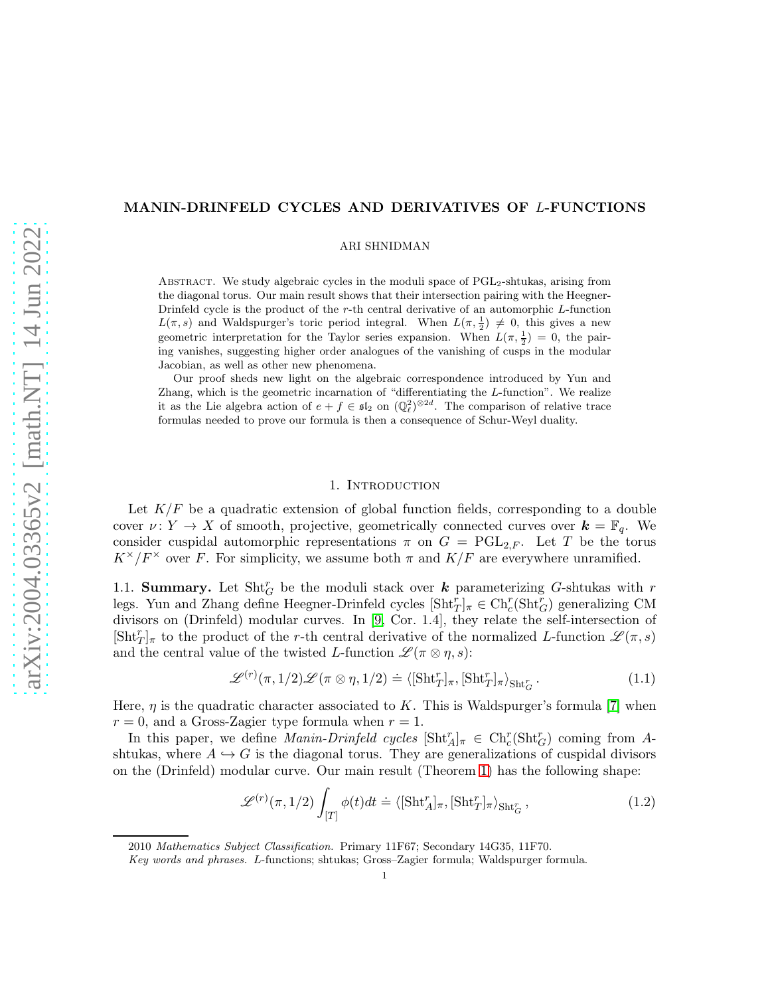# MANIN-DRINFELD CYCLES AND DERIVATIVES OF L-FUNCTIONS

ARI SHNIDMAN

ABSTRACT. We study algebraic cycles in the moduli space of PGL<sub>2</sub>-shtukas, arising from the diagonal torus. Our main result shows that their intersection pairing with the Heegner-Drinfeld cycle is the product of the r-th central derivative of an automorphic  $L$ -function  $L(\pi, s)$  and Waldspurger's toric period integral. When  $L(\pi, \frac{1}{2}) \neq 0$ , this gives a new geometric interpretation for the Taylor series expansion. When  $L(\pi, \frac{1}{2}) = 0$ , the pairing vanishes, suggesting higher order analogues of the vanishing of cusps in the modular Jacobian, as well as other new phenomena.

Our proof sheds new light on the algebraic correspondence introduced by Yun and Zhang, which is the geometric incarnation of "differentiating the  $L$ -function". We realize it as the Lie algebra action of  $e + f \in \mathfrak{sl}_2$  on  $(\mathbb{Q}_{\ell}^2)^{\otimes 2d}$ . The comparison of relative trace formulas needed to prove our formula is then a consequence of Schur-Weyl duality.

# 1. INTRODUCTION

Let  $K/F$  be a quadratic extension of global function fields, corresponding to a double cover  $\nu: Y \to X$  of smooth, projective, geometrically connected curves over  $k = \mathbb{F}_q$ . We consider cuspidal automorphic representations  $\pi$  on  $G = \text{PGL}_{2,F}$ . Let T be the torus  $K^{\times}/F^{\times}$  over F. For simplicity, we assume both  $\pi$  and  $K/F$  are everywhere unramified.

1.1. **Summary.** Let  $\text{Sht}_G^r$  be the moduli stack over **k** parameterizing G-shtukas with r legs. Yun and Zhang define Heegner-Drinfeld cycles  $[\text{Sht}_T^r]_\pi \in \text{Ch}_c^r(\text{Sht}_G^r)$  generalizing CM divisors on (Drinfeld) modular curves. In [\[9,](#page-27-0) Cor. 1.4], they relate the self-intersection of  $[\text{Sht}^r_T]_{\pi}$  to the product of the r-th central derivative of the normalized L-function  $\mathscr{L}(\pi,s)$ and the central value of the twisted L-function  $\mathscr{L}(\pi \otimes \eta, s)$ :

<span id="page-0-1"></span>
$$
\mathscr{L}^{(r)}(\pi, 1/2)\mathscr{L}(\pi \otimes \eta, 1/2) \doteq \langle [\text{Sht}_T^r]_\pi, [\text{Sht}_T^r]_\pi \rangle_{\text{Sht}_G^r}.
$$
\n(1.1)

Here,  $\eta$  is the quadratic character associated to K. This is Waldspurger's formula [\[7\]](#page-26-0) when  $r = 0$ , and a Gross-Zagier type formula when  $r = 1$ .

In this paper, we define *Manin-Drinfeld cycles*  $[\text{Sht}_{A}^{T}]_{\pi} \in \text{Ch}_{c}^{r}(\text{Sht}_{G}^{r})$  coming from Ashtukas, where  $A \hookrightarrow G$  is the diagonal torus. They are generalizations of cuspidal divisors on the (Drinfeld) modular curve. Our main result (Theorem [1\)](#page-2-0) has the following shape:

<span id="page-0-0"></span>
$$
\mathscr{L}^{(r)}(\pi, 1/2) \int_{[T]} \phi(t)dt \doteq \langle [\text{Sht}_A^r]_\pi, [\text{Sht}_T^r]_\pi \rangle_{\text{Sht}_G^r},\tag{1.2}
$$

<sup>2010</sup> Mathematics Subject Classification. Primary 11F67; Secondary 14G35, 11F70.

Key words and phrases. L-functions; shtukas; Gross–Zagier formula; Waldspurger formula.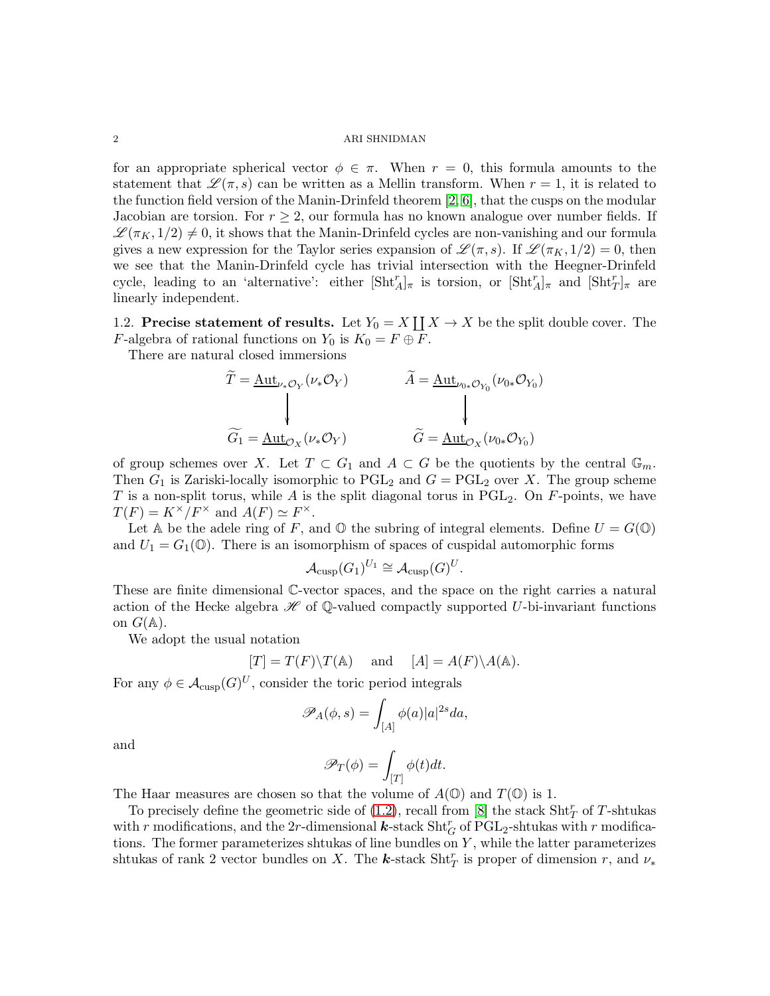for an appropriate spherical vector  $\phi \in \pi$ . When  $r = 0$ , this formula amounts to the statement that  $\mathscr{L}(\pi, s)$  can be written as a Mellin transform. When  $r = 1$ , it is related to the function field version of the Manin-Drinfeld theorem  $[2, 6]$  $[2, 6]$ , that the cusps on the modular Jacobian are torsion. For  $r \geq 2$ , our formula has no known analogue over number fields. If  $\mathscr{L}(\pi_K, 1/2) \neq 0$ , it shows that the Manin-Drinfeld cycles are non-vanishing and our formula gives a new expression for the Taylor series expansion of  $\mathscr{L}(\pi,s)$ . If  $\mathscr{L}(\pi_K,1/2)=0$ , then we see that the Manin-Drinfeld cycle has trivial intersection with the Heegner-Drinfeld cycle, leading to an 'alternative': either  $[\text{Sht}_{A}^{T}]_{\pi}$  is torsion, or  $[\text{Sht}_{A}^{T}]_{\pi}$  and  $[\text{Sht}_{T}^{T}]_{\pi}$  are linearly independent.

1.2. Precise statement of results. Let  $Y_0 = X \coprod X \to X$  be the split double cover. The F-algebra of rational functions on  $Y_0$  is  $K_0 = F \oplus F$ .

There are natural closed immersions

$$
\widetilde{T} = \underline{\mathrm{Aut}}_{\nu_*\mathcal{O}_Y}(\nu_*\mathcal{O}_Y) \qquad \widetilde{A} = \underline{\mathrm{Aut}}_{\nu_{0*}\mathcal{O}_{Y_0}}(\nu_{0*}\mathcal{O}_{Y_0})
$$
\n
$$
\widetilde{G}_1 = \underline{\mathrm{Aut}}_{\mathcal{O}_X}(\nu_*\mathcal{O}_Y) \qquad \widetilde{G} = \underline{\mathrm{Aut}}_{\mathcal{O}_X}(\nu_{0*}\mathcal{O}_{Y_0})
$$

of group schemes over X. Let  $T \subset G_1$  and  $A \subset G$  be the quotients by the central  $\mathbb{G}_m$ . Then  $G_1$  is Zariski-locally isomorphic to  $PGL_2$  and  $G = PGL_2$  over X. The group scheme T is a non-split torus, while A is the split diagonal torus in  $PGL_2$ . On F-points, we have  $T(F) = K^{\times}/F^{\times}$  and  $A(F) \simeq F^{\times}$ .

Let A be the adele ring of F, and  $\mathbb{O}$  the subring of integral elements. Define  $U = G(\mathbb{O})$ and  $U_1 = G_1(\mathbb{O})$ . There is an isomorphism of spaces of cuspidal automorphic forms

$$
\mathcal{A}_{\rm cusp}(G_1)^{U_1}\cong \mathcal{A}_{\rm cusp}(G)^U
$$

.

These are finite dimensional C-vector spaces, and the space on the right carries a natural action of the Hecke algebra  $\mathscr H$  of Q-valued compactly supported U-bi-invariant functions on  $G(\mathbb{A})$ .

We adopt the usual notation

$$
[T] = T(F)\setminus T(\mathbb{A})
$$
 and  $[A] = A(F)\setminus A(\mathbb{A}).$ 

For any  $\phi \in \mathcal{A}_{\text{cusp}}(G)^U$ , consider the toric period integrals

$$
\mathscr{P}_A(\phi, s) = \int_{[A]} \phi(a)|a|^{2s} da,
$$

and

$$
\mathscr{P}_T(\phi)=\int_{[T]}\phi(t)dt.
$$

The Haar measures are chosen so that the volume of  $A(\mathbb{O})$  and  $T(\mathbb{O})$  is 1.

To precisely define the geometric side of  $(1.2)$ , recall from [\[8\]](#page-26-3) the stack  $\text{Sht}_T^r$  of T-shtukas with r modifications, and the 2r-dimensional  $k$ -stack  $\text{Sht}_G^r$  of  $\text{PGL}_2$ -shtukas with r modifications. The former parameterizes shtukas of line bundles on  $Y$ , while the latter parameterizes shtukas of rank 2 vector bundles on X. The k-stack  $\text{Sht}_T^r$  is proper of dimension r, and  $\nu_*$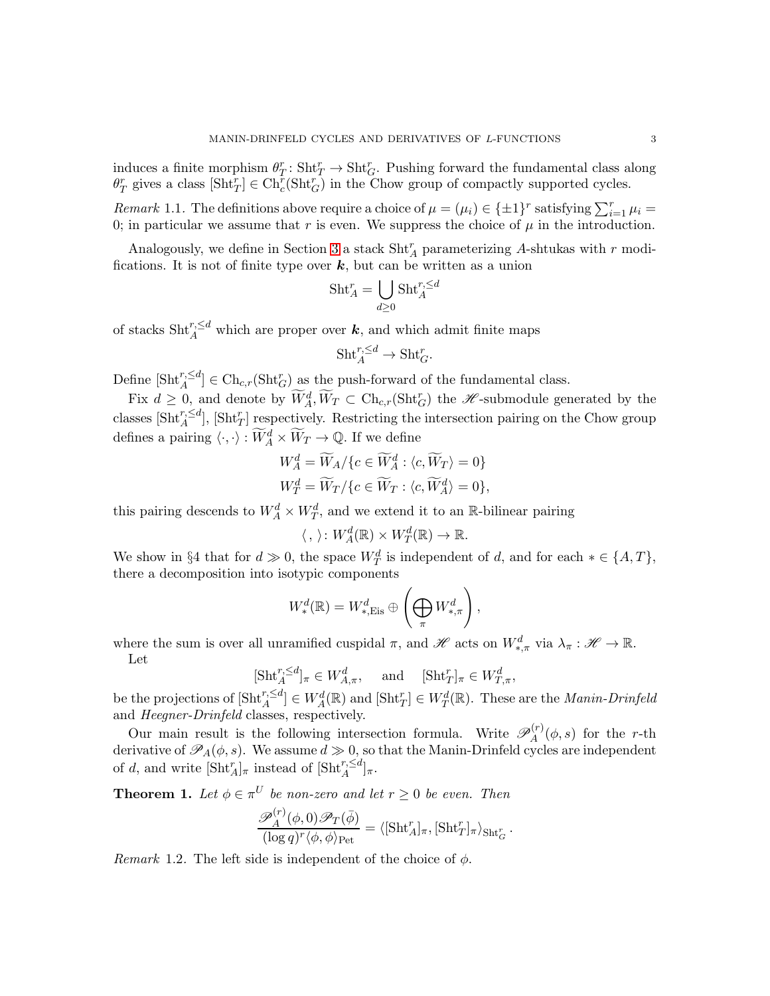induces a finite morphism  $\theta_T^r : \text{Sht}_T^r \to \text{Sht}_G^r$ . Pushing forward the fundamental class along  $\theta_T^r$  gives a class  $[\text{Sht}_T^r] \in \text{Ch}_c^{\tilde{r}}(\text{Sht}_G^r)$  in the Chow group of compactly supported cycles.

Remark 1.1. The definitions above require a choice of  $\mu = (\mu_i) \in \{\pm 1\}^r$  satisfying  $\sum_{i=1}^r \mu_i =$ 0; in particular we assume that r is even. We suppress the choice of  $\mu$  in the introduction.

Analogously, we define in Section [3](#page-11-0) a stack  $\text{Sht}^r_A$  parameterizing A-shtukas with  $r$  modifications. It is not of finite type over  $k$ , but can be written as a union

$$
\textnormal{Sht}^r_A=\bigcup_{d\geq 0}\textnormal{Sht}^{r,\leq d}_A
$$

of stacks  $\text{Sht}_{A}^{r,\leq d}$  which are proper over  $k$ , and which admit finite maps

$$
\text{Sht}_{A}^{r,\leq d} \to \text{Sht}_{G}^{r}.
$$

Define  $[\text{Sht}_{A}^{r,\leq d}] \in \text{Ch}_{c,r}(\text{Sht}_{G}^{r})$  as the push-forward of the fundamental class.

Fix  $d \geq 0$ , and denote by  $\widetilde{W}_{A}^{d}, \widetilde{W}_{T} \subset \text{Ch}_{c,r}(\text{Sht}_{G}^{r})$  the  $\mathscr{H}$ -submodule generated by the classes  $[\text{Sht}_{A}^{r,\leq d}]$ ,  $[\text{Sht}_{T}^{r}]$  respectively. Restricting the intersection pairing on the Chow group defines a pairing  $\langle \cdot, \cdot \rangle : \overline{W}_A^d \times \overline{W}_T \to \mathbb{Q}$ . If we define

$$
W_A^d = \widetilde{W}_A / \{c \in \widetilde{W}_A^d : \langle c, \widetilde{W}_T \rangle = 0\}
$$
  

$$
W_T^d = \widetilde{W}_T / \{c \in \widetilde{W}_T : \langle c, \widetilde{W}_A^d \rangle = 0\},
$$

this pairing descends to  $W_A^d \times W_T^d$ , and we extend it to an R-bilinear pairing

 $\langle , \rangle \colon W_A^d(\mathbb{R}) \times W_T^d(\mathbb{R}) \to \mathbb{R}.$ 

We show in §4 that for  $d \gg 0$ , the space  $W_T^d$  is independent of d, and for each  $* \in \{A, T\}$ , there a decomposition into isotypic components

$$
W_*^d(\mathbb{R}) = W_{*,\text{Eis}}^d \oplus \left(\bigoplus_{\pi} W_{*,\pi}^d\right),
$$

where the sum is over all unramified cuspidal  $\pi$ , and  $\mathscr{H}$  acts on  $W^d_{*,\pi}$  via  $\lambda_{\pi} : \mathscr{H} \to \mathbb{R}$ . Let

 $[\text{Sht}^{r,\leq d}_A]_\pi \in W^d_{A,\pi}$ , and  $[\text{Sht}^r_T]_\pi \in W^d_{T,\pi}$ ,

be the projections of  $[\text{Sht}_{A}^{r,\leq d}] \in W_{A}^{d}(\mathbb{R})$  and  $[\text{Sht}_{T}^{r}] \in W_{T}^{d}(\mathbb{R})$ . These are the *Manin-Drinfeld* and Heegner-Drinfeld classes, respectively.

Our main result is the following intersection formula. Write  $\mathscr{P}_A^{(r)}$  $A^{(r)}(\phi, s)$  for the r-th derivative of  $\mathscr{P}_A(\phi, s)$ . We assume  $d \gg 0$ , so that the Manin-Drinfeld cycles are independent of d, and write  $[\text{Sht}_{A}^{r}]_{\pi}$  instead of  $[\text{Sht}_{A}^{r,\leq d}]_{\pi}$ .

<span id="page-2-0"></span>**Theorem 1.** Let  $\phi \in \pi^U$  be non-zero and let  $r \geq 0$  be even. Then

$$
\frac{\mathscr{P}_A^{(r)}(\phi,0)\mathscr{P}_T(\bar{\phi})}{(\log q)^r \langle \phi, \phi \rangle_{\text{Pet}}} = \langle [\text{Sht}_A^r]_\pi, [\text{Sht}_T^r]_\pi \rangle_{\text{Sht}_G^r}.
$$

Remark 1.2. The left side is independent of the choice of  $\phi$ .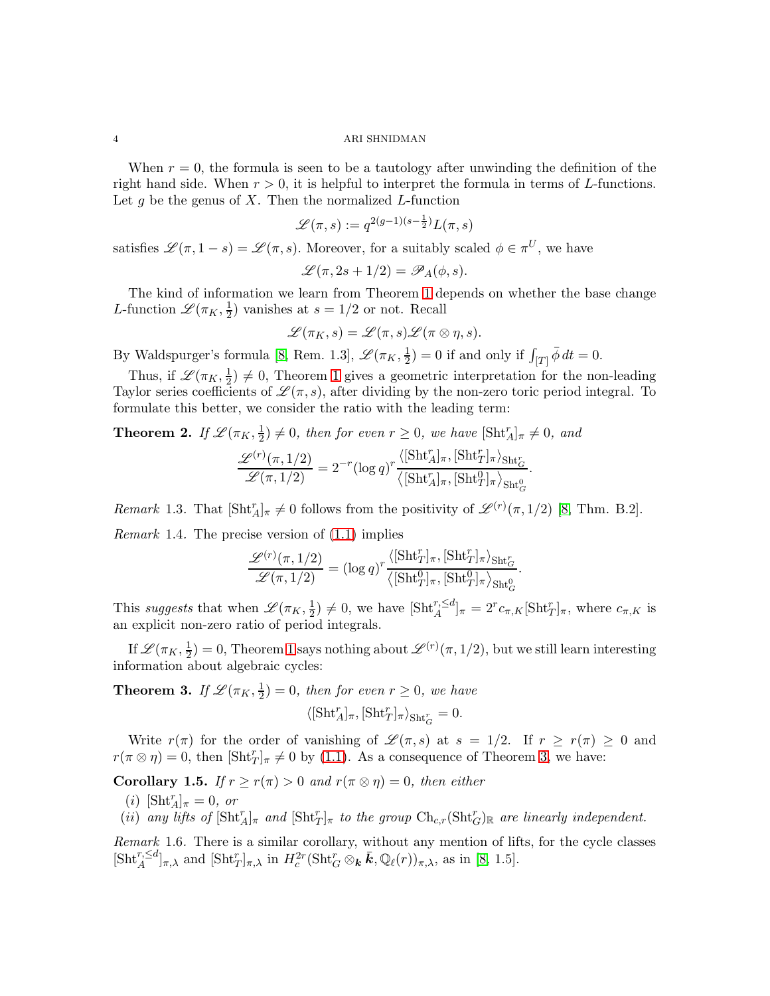When  $r = 0$ , the formula is seen to be a tautology after unwinding the definition of the right hand side. When  $r > 0$ , it is helpful to interpret the formula in terms of L-functions. Let  $g$  be the genus of  $X$ . Then the normalized  $L$ -function

$$
\mathcal{L}(\pi, s) := q^{2(g-1)(s-\frac{1}{2})} L(\pi, s)
$$

satisfies  $\mathscr{L}(\pi, 1-s) = \mathscr{L}(\pi, s)$ . Moreover, for a suitably scaled  $\phi \in \pi^U$ , we have

$$
\mathscr{L}(\pi, 2s + 1/2) = \mathscr{P}_A(\phi, s).
$$

The kind of information we learn from Theorem [1](#page-2-0) depends on whether the base change *L*-function  $\mathscr{L}(\pi_K, \frac{1}{2})$  $\frac{1}{2}$ ) vanishes at  $s = 1/2$  or not. Recall

$$
\mathscr{L}(\pi_K, s) = \mathscr{L}(\pi, s) \mathscr{L}(\pi \otimes \eta, s).
$$

By Waldspurger's formula [\[8,](#page-26-3) Rem. 1.3],  $\mathscr{L}(\pi_K, \frac{1}{2})$  $\frac{1}{2}$ ) = 0 if and only if  $\int_{[T]} \bar{\phi} dt = 0$ .

Thus, if  $\mathscr{L}(\pi_K, \frac{1}{2})$  $\frac{1}{2}$   $\neq$  0, Theorem [1](#page-2-0) gives a geometric interpretation for the non-leading Taylor series coefficients of  $\mathscr{L}(\pi, s)$ , after dividing by the non-zero toric period integral. To formulate this better, we consider the ratio with the leading term:

<span id="page-3-1"></span>Theorem 2. If  $\mathscr{L}(\pi_K, \frac{1}{2})$  $(\frac{1}{2}) \neq 0$ , then for even  $r \geq 0$ , we have  $[\text{Sht}_{A}^{r}]_{\pi} \neq 0$ , and  $\frac{\mathscr{L}^{(r)}(\pi,1/2)}{\mathscr{L}(\pi,1/2)}=2^{-r}(\log q)^r\frac{\langle [\text{Sht}_A^r]_\pi,[\text{Sht}_T^r]_\pi \rangle_{\text{Sht}_G^r}}{\langle [\text{Sht}_A^r]_\pi,[\text{Sht}_T^0]_\pi \rangle_{\text{Sht}_G^r}}$ G .

Remark 1.3. That  $[\text{Sht}_{A}^{r}]_{\pi} \neq 0$  follows from the positivity of  $\mathscr{L}^{(r)}(\pi,1/2)$  [\[8,](#page-26-3) Thm. B.2]. *Remark* 1.4. The precise version of  $(1.1)$  implies

$$
\frac{\mathscr{L}^{(r)}(\pi,1/2)}{\mathscr{L}(\pi,1/2)} = (\log q)^r \frac{\langle [\text{Sht}_T^r]_\pi, [\text{Sht}_T^r]_\pi \rangle_{\text{Sht}_G^r}}{\langle [\text{Sht}_T^0]_\pi, [\text{Sht}_T^0]_\pi \rangle_{\text{Sht}_G^0}}.
$$

This suggests that when  $\mathscr{L}(\pi_K, \frac{1}{2})$  $(\frac{1}{2}) \neq 0$ , we have  $[\text{Sht}_{A}^{r, \leq d}]_{\pi} = 2^{r} c_{\pi, K} [\text{Sht}_{T}^{r}]_{\pi}$ , where  $c_{\pi, K}$  is an explicit non-zero ratio of period integrals.

If  $\mathscr L(\pi_K,\frac{1}{2}$  $(\frac{1}{2}) = 0$ , Theorem [1](#page-2-0) says nothing about  $\mathscr{L}^{(r)}(\pi, 1/2)$ , but we still learn interesting information about algebraic cycles:

<span id="page-3-0"></span>Theorem 3. If  $\mathscr{L}(\pi_K, \frac{1}{2})$  $(\frac{1}{2}) = 0$ , then for even  $r \geq 0$ , we have  $\langle [\text{Sht}^r_A]_\pi, [\text{Sht}^r_T]_\pi \rangle_{\text{Sht}^r_G} = 0.$ G

Write  $r(\pi)$  for the order of vanishing of  $\mathscr{L}(\pi, s)$  at  $s = 1/2$ . If  $r \geq r(\pi) \geq 0$  and  $r(\pi \otimes \eta) = 0$ , then  $[\text{Sht}_T^r]_{\pi} \neq 0$  by [\(1.1\)](#page-0-1). As a consequence of Theorem [3,](#page-3-0) we have:

**Corollary 1.5.** If  $r \geq r(\pi) > 0$  and  $r(\pi \otimes \eta) = 0$ , then either

- (*i*)  $[\text{Sht}_{A}^{r}]_{\pi} = 0$ , or
- (ii) any lifts of  $[\text{Sht}_A^r]_\pi$  and  $[\text{Sht}_T^r]_\pi$  to the group  $\text{Ch}_{c,r}(\text{Sht}_G^r)_{\mathbb{R}}$  are linearly independent.

Remark 1.6. There is a similar corollary, without any mention of lifts, for the cycle classes  $[\text{Sht}_{A}^{r,\leq d}]_{\pi,\lambda}$  and  $[\text{Sht}_{T}^{r}]_{\pi,\lambda}$  in  $H_c^{2r}(\text{Sht}_{G}^{r}\otimes_{\mathbf{k}}\bar{\mathbf{k}},\mathbb{Q}_{\ell}(r))_{\pi,\lambda}$ , as in [\[8,](#page-26-3) 1.5].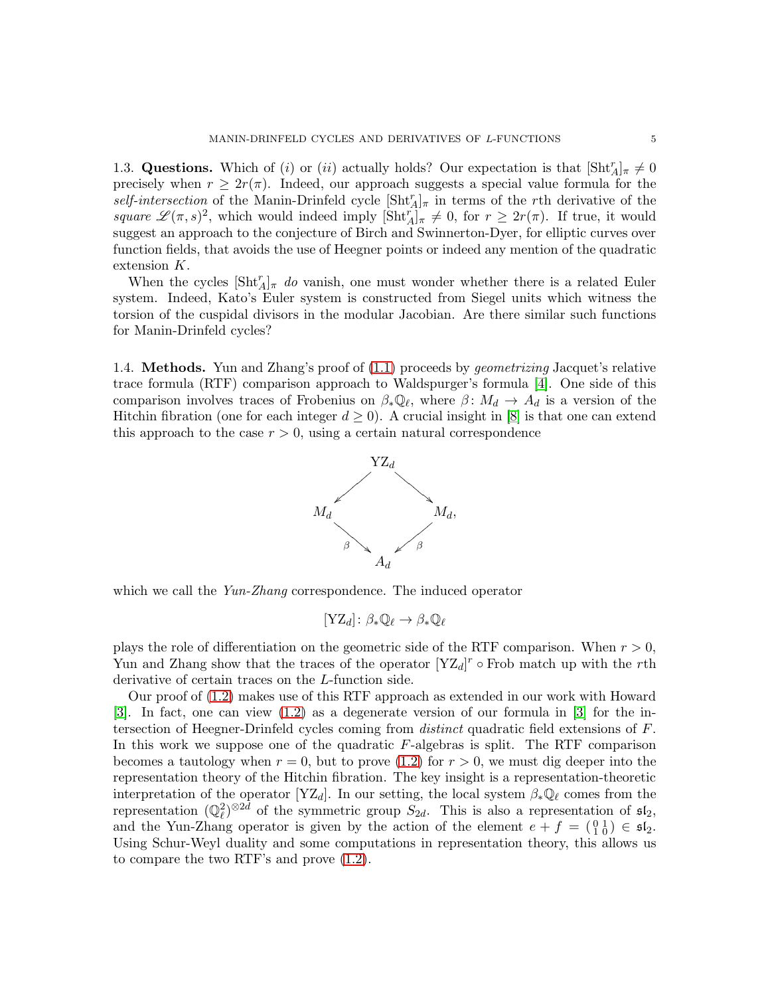1.3. Questions. Which of (i) or (ii) actually holds? Our expectation is that  $[Sht_A^r]_{\pi} \neq 0$ precisely when  $r \geq 2r(\pi)$ . Indeed, our approach suggests a special value formula for the self-intersection of the Manin-Drinfeld cycle  $[\text{Sht}_{A}^{r}]_{\pi}$  in terms of the rth derivative of the square  $\mathscr{L}(\pi, s)^2$ , which would indeed imply  $[\text{Sht}_{A}^{r}]_{\pi} \neq 0$ , for  $r \geq 2r(\pi)$ . If true, it would suggest an approach to the conjecture of Birch and Swinnerton-Dyer, for elliptic curves over function fields, that avoids the use of Heegner points or indeed any mention of the quadratic extension K.

When the cycles  $[\text{Sht}_{A}^{r}]_{\pi}$  do vanish, one must wonder whether there is a related Euler system. Indeed, Kato's Euler system is constructed from Siegel units which witness the torsion of the cuspidal divisors in the modular Jacobian. Are there similar such functions for Manin-Drinfeld cycles?

1.4. **Methods.** Yun and Zhang's proof of  $(1.1)$  proceeds by *geometrizing* Jacquet's relative trace formula (RTF) comparison approach to Waldspurger's formula [\[4\]](#page-26-4). One side of this comparison involves traces of Frobenius on  $\beta_*\mathbb{Q}_\ell$ , where  $\beta: M_d \to A_d$  is a version of the Hitchin fibration (one for each integer  $d \geq 0$ ). A crucial insight in [\[8\]](#page-26-3) is that one can extend this approach to the case  $r > 0$ , using a certain natural correspondence



which we call the Yun-Zhang correspondence. The induced operator

$$
[\text{YZ}_d] \colon \beta_* \mathbb{Q}_\ell \to \beta_* \mathbb{Q}_\ell
$$

plays the role of differentiation on the geometric side of the RTF comparison. When  $r > 0$ , Yun and Zhang show that the traces of the operator  $[YZ_d]^r \circ$  Frob match up with the rth derivative of certain traces on the L-function side.

Our proof of [\(1.2\)](#page-0-0) makes use of this RTF approach as extended in our work with Howard [\[3\]](#page-26-5). In fact, one can view [\(1.2\)](#page-0-0) as a degenerate version of our formula in [\[3\]](#page-26-5) for the intersection of Heegner-Drinfeld cycles coming from distinct quadratic field extensions of F. In this work we suppose one of the quadratic  $F$ -algebras is split. The RTF comparison becomes a tautology when  $r = 0$ , but to prove [\(1.2\)](#page-0-0) for  $r > 0$ , we must dig deeper into the representation theory of the Hitchin fibration. The key insight is a representation-theoretic interpretation of the operator [YZ<sub>d</sub>]. In our setting, the local system  $\beta_*\mathbb{Q}_\ell$  comes from the representation  $(\mathbb{Q}_{\ell}^2)^{\otimes 2d}$  of the symmetric group  $S_{2d}$ . This is also a representation of  $\mathfrak{sl}_2$ , and the Yun-Zhang operator is given by the action of the element  $e + f = \begin{pmatrix} 0 & 1 \\ 1 & 0 \end{pmatrix} \in \mathfrak{sl}_2$ . Using Schur-Weyl duality and some computations in representation theory, this allows us to compare the two RTF's and prove [\(1.2\)](#page-0-0).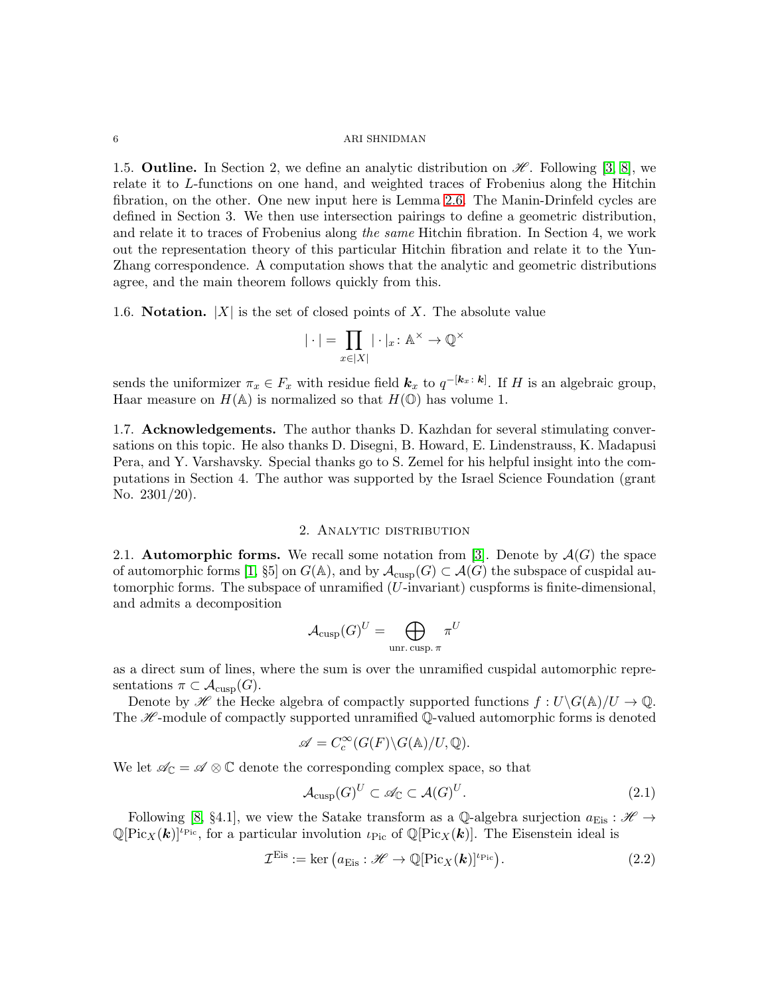1.5. **Outline.** In Section 2, we define an analytic distribution on  $\mathcal{H}$ . Following [\[3,](#page-26-5) [8\]](#page-26-3), we relate it to L-functions on one hand, and weighted traces of Frobenius along the Hitchin fibration, on the other. One new input here is Lemma [2.6.](#page-9-0) The Manin-Drinfeld cycles are defined in Section 3. We then use intersection pairings to define a geometric distribution, and relate it to traces of Frobenius along the same Hitchin fibration. In Section 4, we work out the representation theory of this particular Hitchin fibration and relate it to the Yun-Zhang correspondence. A computation shows that the analytic and geometric distributions agree, and the main theorem follows quickly from this.

<span id="page-5-0"></span>1.6. **Notation.** |X| is the set of closed points of X. The absolute value

$$
|\cdot| = \prod_{x \in |X|} |\cdot|_x \colon \mathbb{A}^\times \to \mathbb{Q}^\times
$$

sends the uniformizer  $\pi_x \in F_x$  with residue field  $\mathbf{k}_x$  to  $q^{-[\mathbf{k}_x : \mathbf{k}]}$ . If H is an algebraic group, Haar measure on  $H(\mathbb{A})$  is normalized so that  $H(\mathbb{O})$  has volume 1.

1.7. Acknowledgements. The author thanks D. Kazhdan for several stimulating conversations on this topic. He also thanks D. Disegni, B. Howard, E. Lindenstrauss, K. Madapusi Pera, and Y. Varshavsky. Special thanks go to S. Zemel for his helpful insight into the computations in Section 4. The author was supported by the Israel Science Foundation (grant No. 2301/20).

## 2. Analytic distribution

<span id="page-5-3"></span>2.1. Automorphic forms. We recall some notation from [\[3\]](#page-26-5). Denote by  $\mathcal{A}(G)$  the space of automorphic forms [\[1,](#page-26-6) §5] on  $G(\mathbb{A})$ , and by  $\mathcal{A}_{\text{cusp}}(G) \subset \mathcal{A}(G)$  the subspace of cuspidal automorphic forms. The subspace of unramified (U-invariant) cuspforms is finite-dimensional, and admits a decomposition

$$
\mathcal{A}_{\mathrm{cusp}}(G)^U=\bigoplus_{\mathrm{unr.~cusp.~}\pi}\pi^U
$$

as a direct sum of lines, where the sum is over the unramified cuspidal automorphic representations  $\pi \subset \mathcal{A}_{\text{cusp}}(G)$ .

Denote by  $\mathscr H$  the Hecke algebra of compactly supported functions  $f: U\backslash G(\mathbb A)/U \to \mathbb Q$ . The  $\mathscr{H}$ -module of compactly supported unramified Q-valued automorphic forms is denoted

$$
\mathscr{A} = C_c^{\infty}(G(F) \backslash G(\mathbb{A})/U, \mathbb{Q}).
$$

We let  $\mathcal{A}_{\mathbb{C}} = \mathcal{A} \otimes \mathbb{C}$  denote the corresponding complex space, so that

<span id="page-5-2"></span>
$$
\mathcal{A}_{\text{cusp}}(G)^U \subset \mathscr{A}_{\mathbb{C}} \subset \mathcal{A}(G)^U. \tag{2.1}
$$

Following [\[8,](#page-26-3) §4.1], we view the Satake transform as a Q-algebra surjection  $a_{Eis} : \mathcal{H} \rightarrow$  $\mathbb{Q}[\text{Pic}_X(\bm{k})]^{\text{LPic}}$ , for a particular involution  $\iota_{\text{Pic}}$  of  $\mathbb{Q}[\text{Pic}_X(\bm{k})]$ . The Eisenstein ideal is

<span id="page-5-1"></span>
$$
\mathcal{I}^{\text{Eis}} := \ker (a_{\text{Eis}} : \mathcal{H} \to \mathbb{Q}[\text{Pic}_X(\mathbf{k})]^{\text{tric}}). \tag{2.2}
$$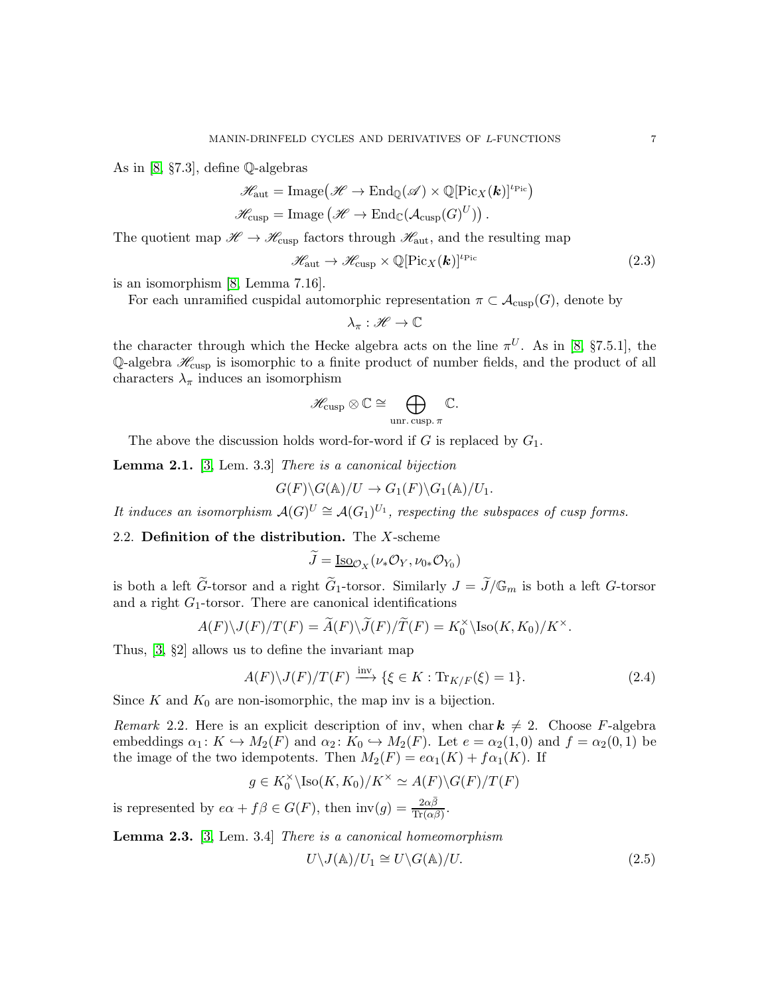As in [\[8,](#page-26-3) §7.3], define Q-algebras

$$
\mathscr{H}_{\text{aut}} = \text{Image}(\mathscr{H} \to \text{End}_{\mathbb{Q}}(\mathscr{A}) \times \mathbb{Q}[\text{Pic}_X(\mathbf{k})]^{\iota_{\text{Pic}}})
$$

$$
\mathscr{H}_{\text{cusp}} = \text{Image}(\mathscr{H} \to \text{End}_{\mathbb{C}}(\mathcal{A}_{\text{cusp}}(G)^U)).
$$

The quotient map  $\mathscr{H} \to \mathscr{H}_{\text{cusp}}$  factors through  $\mathscr{H}_{\text{aut}}$ , and the resulting map

<span id="page-6-2"></span>
$$
\mathcal{H}_{\text{aut}} \to \mathcal{H}_{\text{cusp}} \times \mathbb{Q}[\text{Pic}_X(\mathbf{k})]^{\iota_{\text{Pic}}} \tag{2.3}
$$

is an isomorphism [\[8,](#page-26-3) Lemma 7.16].

For each unramified cuspidal automorphic representation  $\pi \subset \mathcal{A}_{\text{cusp}}(G)$ , denote by

$$
\lambda_\pi:\mathscr{H}\to\mathbb{C}
$$

the character through which the Hecke algebra acts on the line  $\pi^U$ . As in [\[8,](#page-26-3) §7.5.1], the Q-algebra  $\mathscr{H}_{\text{cusp}}$  is isomorphic to a finite product of number fields, and the product of all characters  $\lambda_{\pi}$  induces an isomorphism

$$
\mathscr{H}_{\text{cusp}}\otimes\mathbb{C}\cong\bigoplus_{\text{unr. cusp. }\pi}\mathbb{C}.
$$

The above the discussion holds word-for-word if G is replaced by  $G_1$ .

**Lemma 2.1.** [\[3,](#page-26-5) Lem. 3.3] There is a canonical bijection

$$
G(F)\backslash G(\mathbb{A})/U \to G_1(F)\backslash G_1(\mathbb{A})/U_1.
$$

It induces an isomorphism  $\mathcal{A}(G)^U \cong \mathcal{A}(G_1)^{U_1}$ , respecting the subspaces of cusp forms.

2.2. Definition of the distribution. The X-scheme

$$
\tilde{J} = \underline{\operatorname{Iso}}_{\mathcal{O}_X}(\nu_* \mathcal{O}_Y, \nu_{0*} \mathcal{O}_{Y_0})
$$

is both a left  $\tilde{G}$ -torsor and a right  $\tilde{G}_1$ -torsor. Similarly  $J = \tilde{J}/\mathbb{G}_m$  is both a left G-torsor and a right  $G_1$ -torsor. There are canonical identifications

$$
A(F)\backslash J(F)/T(F) = \widetilde{A}(F)\backslash \widetilde{J}(F)/\widetilde{T}(F) = K_0^{\times} \backslash \text{Iso}(K, K_0)/K^{\times}.
$$

Thus, [\[3,](#page-26-5) §2] allows us to define the invariant map

<span id="page-6-1"></span>
$$
A(F)\backslash J(F)/T(F) \xrightarrow{\text{inv}} \{\xi \in K : \text{Tr}_{K/F}(\xi) = 1\}.
$$
 (2.4)

Since K and  $K_0$  are non-isomorphic, the map inv is a bijection.

Remark 2.2. Here is an explicit description of inv, when char  $k \neq 2$ . Choose F-algebra embeddings  $\alpha_1: K \hookrightarrow M_2(F)$  and  $\alpha_2: K_0 \hookrightarrow M_2(F)$ . Let  $e = \alpha_2(1,0)$  and  $f = \alpha_2(0,1)$  be the image of the two idempotents. Then  $M_2(F) = e\alpha_1(K) + f\alpha_1(K)$ . If

$$
g\in K_0^\times\backslash \mathrm{Iso}(K,K_0)/K^\times\simeq A(F)\backslash G(F)/T(F)
$$

is represented by  $e\alpha + f\beta \in G(F)$ , then  $\text{inv}(g) = \frac{2\alpha\overline{\beta}}{\text{Tr}(\alpha\overline{\beta})}$ .

<span id="page-6-0"></span>Lemma 2.3. [\[3,](#page-26-5) Lem. 3.4] There is a canonical homeomorphism

$$
U \setminus J(\mathbb{A})/U_1 \cong U \setminus G(\mathbb{A})/U. \tag{2.5}
$$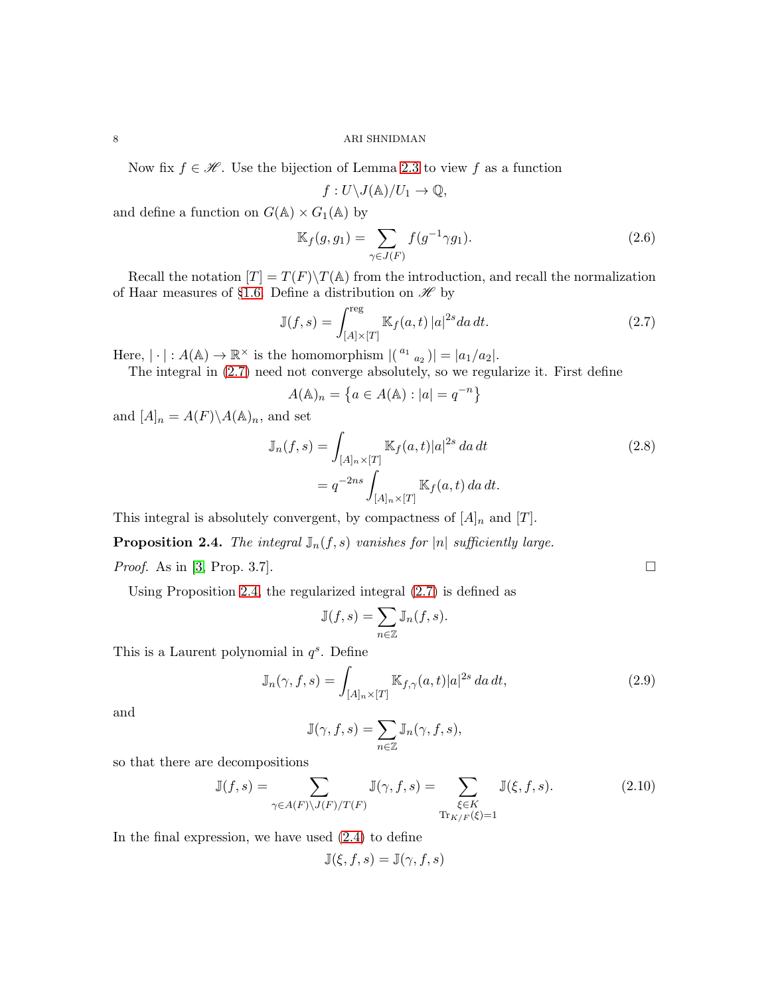Now fix  $f \in \mathcal{H}$ . Use the bijection of Lemma [2.3](#page-6-0) to view f as a function

$$
f:U\backslash J(\mathbb{A})/U_1\to\mathbb{Q},
$$

and define a function on  $G(\mathbb{A}) \times G_1(\mathbb{A})$  by

<span id="page-7-2"></span>
$$
\mathbb{K}_f(g,g_1) = \sum_{\gamma \in J(F)} f(g^{-1} \gamma g_1). \tag{2.6}
$$

Recall the notation  $[T] = T(F)\T(\mathbb{A})$  from the introduction, and recall the normalization of Haar measures of §[1.6.](#page-5-0) Define a distribution on  $\mathcal{H}$  by

<span id="page-7-0"></span>
$$
\mathbb{J}(f,s) = \int_{[A] \times [T]}^{\text{reg}} \mathbb{K}_f(a,t) |a|^{2s} da \, dt. \tag{2.7}
$$

Here,  $|\cdot|: A(\mathbb{A}) \to \mathbb{R}^\times$  is the homomorphism  $|{\binom{a_1}{a_2}}| = |a_1/a_2|$ .

The integral in [\(2.7\)](#page-7-0) need not converge absolutely, so we regularize it. First define

<span id="page-7-3"></span>
$$
A(\mathbb{A})_n = \{ a \in A(\mathbb{A}) : |a| = q^{-n} \}
$$

and  $[A]_n = A(F) \backslash A(\mathbb{A})_n$ , and set

$$
\mathbb{J}_n(f, s) = \int_{[A]_n \times [T]} \mathbb{K}_f(a, t) |a|^{2s} da dt
$$
\n
$$
= q^{-2ns} \int_{[A]_n \times [T]} \mathbb{K}_f(a, t) da dt.
$$
\n(2.8)

This integral is absolutely convergent, by compactness of  $[A]_n$  and  $[T]$ .

<span id="page-7-1"></span>**Proposition 2.4.** The integral  $\mathbb{J}_n(f, s)$  vanishes for |n| sufficiently large.

*Proof.* As in [\[3,](#page-26-5) Prop. 3.7].

Using Proposition [2.4,](#page-7-1) the regularized integral [\(2.7\)](#page-7-0) is defined as

$$
\mathbb{J}(f,s) = \sum_{n \in \mathbb{Z}} \mathbb{J}_n(f,s).
$$

This is a Laurent polynomial in  $q^s$ . Define

$$
\mathbb{J}_n(\gamma, f, s) = \int_{[A]_n \times [T]} \mathbb{K}_{f, \gamma}(a, t) |a|^{2s} da dt,
$$
\n(2.9)

and

$$
\mathbb{J}(\gamma, f, s) = \sum_{n \in \mathbb{Z}} \mathbb{J}_n(\gamma, f, s),
$$

so that there are decompositions

<span id="page-7-4"></span>
$$
\mathbb{J}(f,s) = \sum_{\gamma \in A(F) \setminus J(F)/T(F)} \mathbb{J}(\gamma, f, s) = \sum_{\substack{\xi \in K \\ \text{Tr}_{K/F}(\xi) = 1}} \mathbb{J}(\xi, f, s).
$$
 (2.10)

In the final expression, we have used [\(2.4\)](#page-6-1) to define

$$
\mathbb{J}(\xi,f,s)=\mathbb{J}(\gamma,f,s)
$$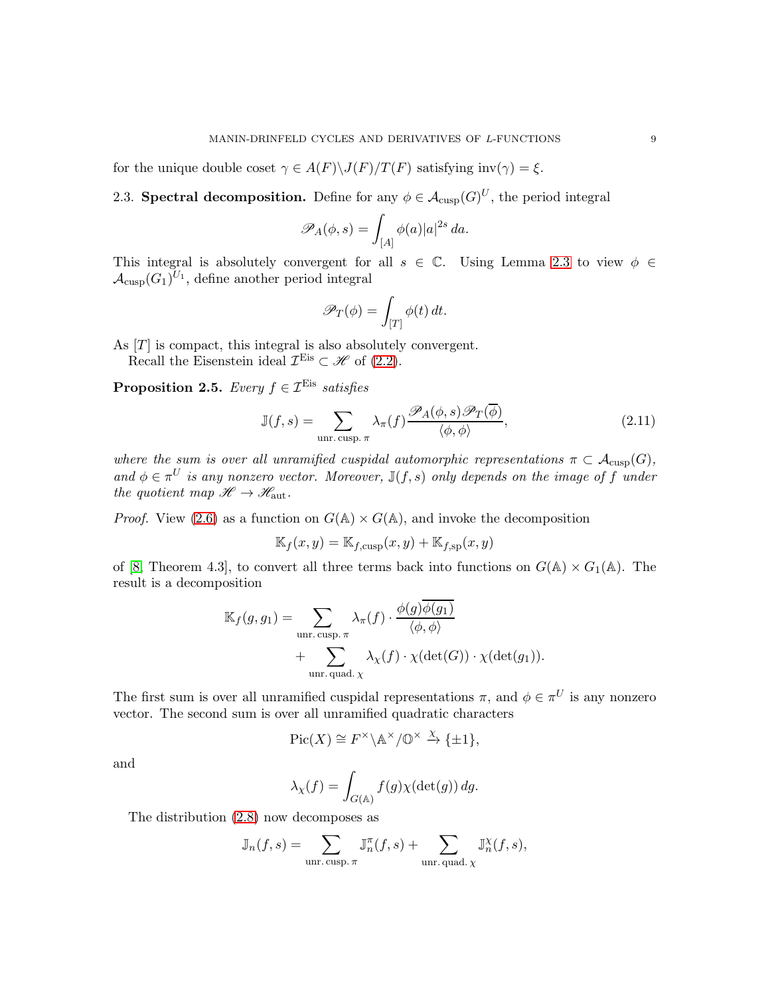<span id="page-8-2"></span>for the unique double coset  $\gamma \in A(F) \backslash J(F)/T(F)$  satisfying inv( $\gamma$ ) = ξ.

# 2.3. Spectral decomposition. Define for any  $\phi \in \mathcal{A}_{\text{cusp}}(G)^U$ , the period integral

$$
\mathscr{P}_A(\phi,s)=\int_{[A]}\phi(a)|a|^{2s}\,da.
$$

This integral is absolutely convergent for all  $s \in \mathbb{C}$ . Using Lemma [2.3](#page-6-0) to view  $\phi \in$  $\mathcal{A}_{\text{cusp}}(G_1)^{U_1}$ , define another period integral

$$
\mathscr{P}_T(\phi) = \int_{[T]} \phi(t) dt.
$$

As  $[T]$  is compact, this integral is also absolutely convergent.

Recall the Eisenstein ideal  $\mathcal{I}^{\text{Eis}} \subset \mathcal{H}$  of [\(2.2\)](#page-5-1).

<span id="page-8-1"></span>**Proposition 2.5.** Every  $f \in \mathcal{I}^{\text{Eis}}$  satisfies

<span id="page-8-0"></span>
$$
\mathbb{J}(f,s) = \sum_{\text{unr. cusp. }\pi} \lambda_{\pi}(f) \frac{\mathscr{P}_A(\phi, s) \mathscr{P}_T(\overline{\phi})}{\langle \phi, \phi \rangle},\tag{2.11}
$$

where the sum is over all unramified cuspidal automorphic representations  $\pi \subset A_{\text{cusp}}(G)$ , and  $\phi \in \pi^U$  is any nonzero vector. Moreover,  $\mathbb{J}(f, s)$  only depends on the image of f under the quotient map  $\mathscr{H} \to \mathscr{H}_{\text{aut}}$ .

*Proof.* View [\(2.6\)](#page-7-2) as a function on  $G(\mathbb{A}) \times G(\mathbb{A})$ , and invoke the decomposition

$$
\mathbb{K}_f(x, y) = \mathbb{K}_{f, \text{cusp}}(x, y) + \mathbb{K}_{f, \text{sp}}(x, y)
$$

of [\[8,](#page-26-3) Theorem 4.3], to convert all three terms back into functions on  $G(\mathbb{A}) \times G_1(\mathbb{A})$ . The result is a decomposition

$$
\mathbb{K}_f(g, g_1) = \sum_{\text{unr. cusp. } \pi} \lambda_{\pi}(f) \cdot \frac{\phi(g)\phi(g_1)}{\langle \phi, \phi \rangle} + \sum_{\text{unr. quad. } \chi} \lambda_{\chi}(f) \cdot \chi(\det(G)) \cdot \chi(\det(g_1)).
$$

The first sum is over all unramified cuspidal representations  $\pi$ , and  $\phi \in \pi^U$  is any nonzero vector. The second sum is over all unramified quadratic characters

$$
\mathrm{Pic}(X) \cong F^\times \backslash \mathbb{A}^\times/\mathbb{O}^\times \xrightarrow{\chi} \{\pm 1\},
$$

and

$$
\lambda_{\chi}(f) = \int_{G(\mathbb{A})} f(g) \chi(\det(g)) \, dg.
$$

The distribution [\(2.8\)](#page-7-3) now decomposes as

$$
\mathbb{J}_n(f,s) = \sum_{\text{unr. cusp. } \pi} \mathbb{J}_n^{\pi}(f,s) + \sum_{\text{unr. quad. } \chi} \mathbb{J}_n^{\chi}(f,s),
$$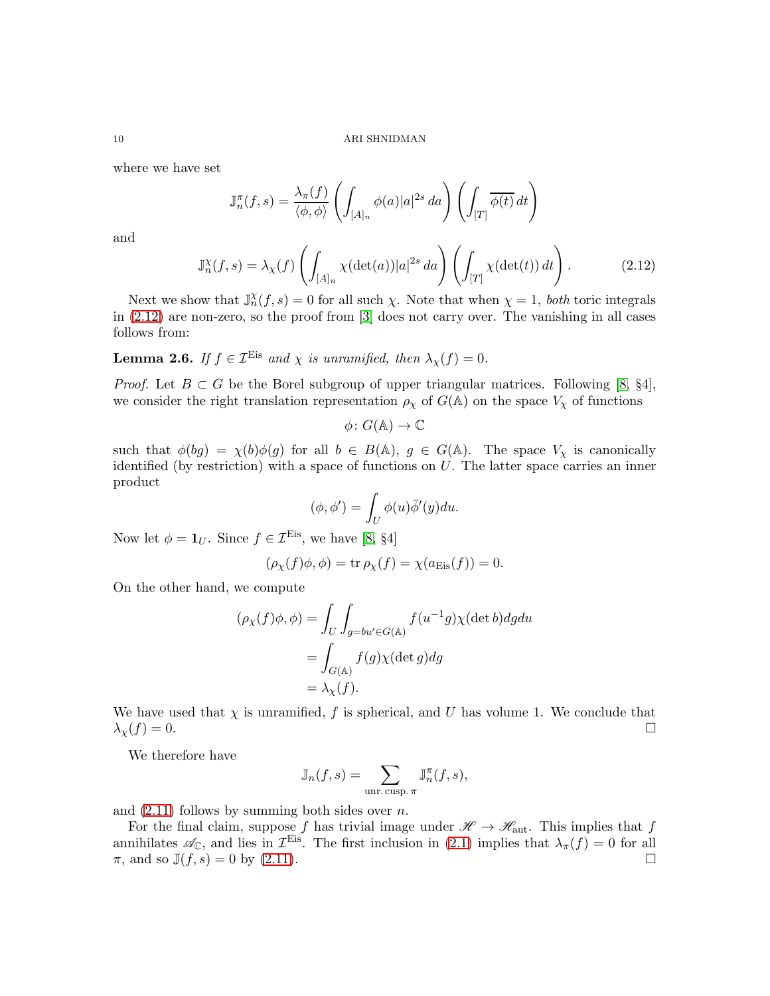where we have set

$$
\mathbb{J}_n^{\pi}(f,s) = \frac{\lambda_{\pi}(f)}{\langle \phi, \phi \rangle} \left( \int_{[A]_n} \phi(a)|a|^{2s} da \right) \left( \int_{[T]} \overline{\phi(t)} dt \right)
$$

and

<span id="page-9-1"></span>
$$
\mathbb{J}_n^{\chi}(f,s) = \lambda_{\chi}(f) \left( \int_{[A]_n} \chi(\det(a)) |a|^{2s} da \right) \left( \int_{[T]} \chi(\det(t)) dt \right). \tag{2.12}
$$

Next we show that  $\mathbb{J}_{n}^{\chi}(f, s) = 0$  for all such  $\chi$ . Note that when  $\chi = 1$ , both toric integrals in [\(2.12\)](#page-9-1) are non-zero, so the proof from [\[3\]](#page-26-5) does not carry over. The vanishing in all cases follows from:

<span id="page-9-0"></span>**Lemma 2.6.** If  $f \in \mathcal{I}^{\text{Eis}}$  and  $\chi$  is unramified, then  $\lambda_{\chi}(f) = 0$ .

*Proof.* Let  $B \subset G$  be the Borel subgroup of upper triangular matrices. Following [\[8,](#page-26-3) §4], we consider the right translation representation  $\rho_{\chi}$  of  $G(\mathbb{A})$  on the space  $V_{\chi}$  of functions

$$
\phi \colon G(\mathbb{A}) \to \mathbb{C}
$$

such that  $\phi(bg) = \chi(b)\phi(g)$  for all  $b \in B(\mathbb{A}), g \in G(\mathbb{A})$ . The space  $V_\chi$  is canonically identified (by restriction) with a space of functions on  $U$ . The latter space carries an inner product

$$
(\phi,\phi')=\int_U \phi(u)\bar{\phi}'(y)du.
$$

Now let  $\phi = \mathbf{1}_U$ . Since  $f \in \mathcal{I}^{\text{Eis}}$ , we have [\[8,](#page-26-3) §4]

$$
(\rho_\chi(f)\phi,\phi)=\operatorname{tr}\rho_\chi(f)=\chi(a_{\operatorname{Eis}}(f))=0.
$$

On the other hand, we compute

$$
(\rho_{\chi}(f)\phi,\phi) = \int_{U} \int_{g=bu'\in G(\mathbb{A})} f(u^{-1}g)\chi(\det b)dgdu
$$
  
= 
$$
\int_{G(\mathbb{A})} f(g)\chi(\det g)dg
$$
  
= 
$$
\lambda_{\chi}(f).
$$

We have used that  $\chi$  is unramified, f is spherical, and U has volume 1. We conclude that  $\lambda_{\chi}(f) = 0.$ 

We therefore have

$$
\mathbb{J}_n(f,s) = \sum_{\text{unr. cusp. } \pi} \mathbb{J}_n^{\pi}(f,s),
$$

and  $(2.11)$  follows by summing both sides over *n*.

For the final claim, suppose f has trivial image under  $\mathscr{H} \to \mathscr{H}_{\text{aut}}$ . This implies that f annihilates  $\mathscr{A}_{\mathbb{C}}$ , and lies in  $\mathcal{I}^{\text{Eis}}$ . The first inclusion in [\(2.1\)](#page-5-2) implies that  $\lambda_{\pi}(f) = 0$  for all  $\pi$ , and so  $\mathbb{J}(f, s) = 0$  by [\(2.11\)](#page-8-0).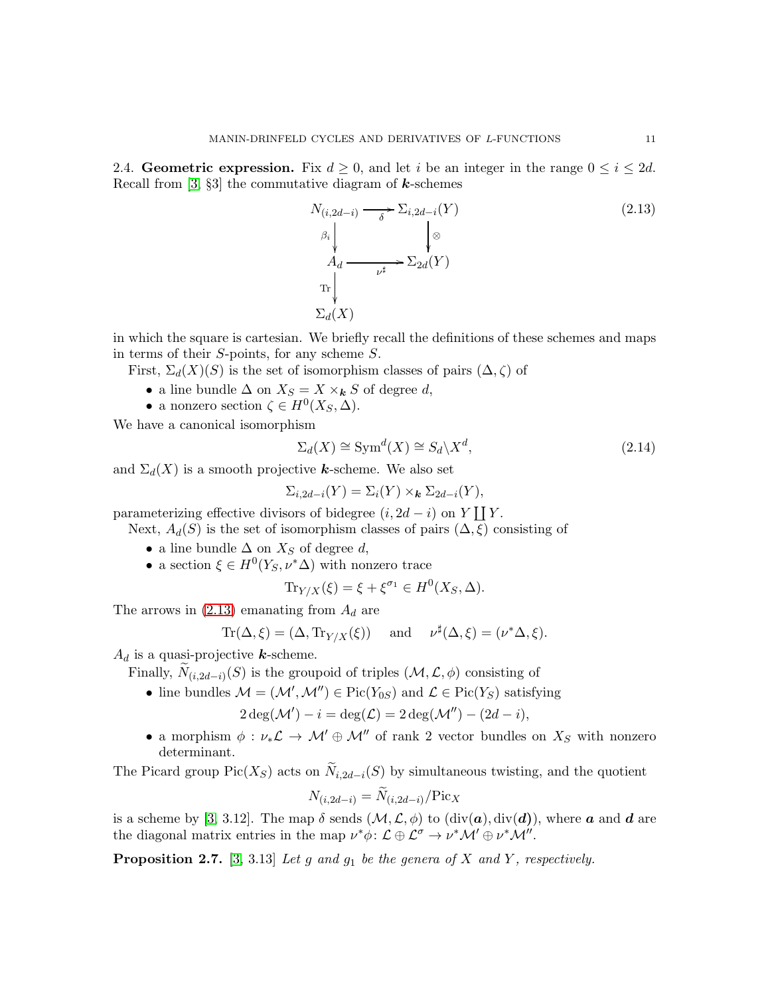2.4. Geometric expression. Fix  $d \geq 0$ , and let i be an integer in the range  $0 \leq i \leq 2d$ . Recall from [\[3,](#page-26-5)  $\S3$ ] the commutative diagram of **k**-schemes

<span id="page-10-0"></span>
$$
N_{(i,2d-i)} \longrightarrow \Sigma_{i,2d-i}(Y)
$$
\n
$$
\beta_i \downarrow \qquad \qquad \downarrow \otimes
$$
\n
$$
A_d \longrightarrow \Sigma_{2d}(Y)
$$
\n
$$
\Sigma_d(X)
$$
\n(2.13)

in which the square is cartesian. We briefly recall the definitions of these schemes and maps in terms of their S-points, for any scheme S.

First,  $\Sigma_d(X)(S)$  is the set of isomorphism classes of pairs  $(\Delta, \zeta)$  of

- a line bundle  $\Delta$  on  $X_S = X \times_k S$  of degree d,
- a nonzero section  $\zeta \in H^0(X_S, \Delta)$ .

We have a canonical isomorphism

<span id="page-10-2"></span>
$$
\Sigma_d(X) \cong \text{Sym}^d(X) \cong S_d \backslash X^d,\tag{2.14}
$$

and  $\Sigma_d(X)$  is a smooth projective k-scheme. We also set

$$
\Sigma_{i,2d-i}(Y) = \Sigma_i(Y) \times_{\mathbf{k}} \Sigma_{2d-i}(Y),
$$

parameterizing effective divisors of bidegree  $(i, 2d - i)$  on Y  $\coprod Y$ .

Next,  $A_d(S)$  is the set of isomorphism classes of pairs  $(\Delta, \xi)$  consisting of

- a line bundle  $\Delta$  on  $X_S$  of degree d,
- a section  $\xi \in H^0(Y_S, \nu^* \Delta)$  with nonzero trace

$$
\operatorname{Tr}_{Y/X}(\xi) = \xi + \xi^{\sigma_1} \in H^0(X_S, \Delta).
$$

The arrows in  $(2.13)$  emanating from  $A_d$  are

$$
\text{Tr}(\Delta,\xi) = (\Delta, \text{Tr}_{Y/X}(\xi)) \quad \text{and} \quad \nu^{\sharp}(\Delta,\xi) = (\nu^*\Delta,\xi).
$$

 $A_d$  is a quasi-projective **k**-scheme.

Finally,  $N_{(i,2d-i)}(S)$  is the groupoid of triples  $(\mathcal{M}, \mathcal{L}, \phi)$  consisting of

- line bundles  $\mathcal{M} = (\mathcal{M}', \mathcal{M}'') \in Pic(Y_{0S})$  and  $\mathcal{L} \in Pic(Y_S)$  satisfying  $2 \deg(\mathcal{M}') - i = \deg(\mathcal{L}) = 2 \deg(\mathcal{M}'') - (2d - i),$
- a morphism  $\phi : \nu_* \mathcal{L} \to \mathcal{M}' \oplus \mathcal{M}''$  of rank 2 vector bundles on  $X_S$  with nonzero determinant.

The Picard group  $Pic(X_S)$  acts on  $N_{i,2d-i}(S)$  by simultaneous twisting, and the quotient

$$
N_{(i,2d-i)} = N_{(i,2d-i)} / \text{Pic}_X
$$

is a scheme by [\[3,](#page-26-5) 3.12]. The map  $\delta$  sends  $(\mathcal{M}, \mathcal{L}, \phi)$  to  $(\text{div}(\boldsymbol{a}), \text{div}(\boldsymbol{d}))$ , where  $\boldsymbol{a}$  and  $\boldsymbol{d}$  are the diagonal matrix entries in the map  $\nu^*\phi: \mathcal{L} \oplus \mathcal{L}^{\sigma} \to \nu^* \mathcal{M}' \oplus \nu^* \mathcal{M}''$ .

<span id="page-10-1"></span>**Proposition 2.7.** [\[3,](#page-26-5) 3.13] Let g and  $g_1$  be the genera of X and Y, respectively.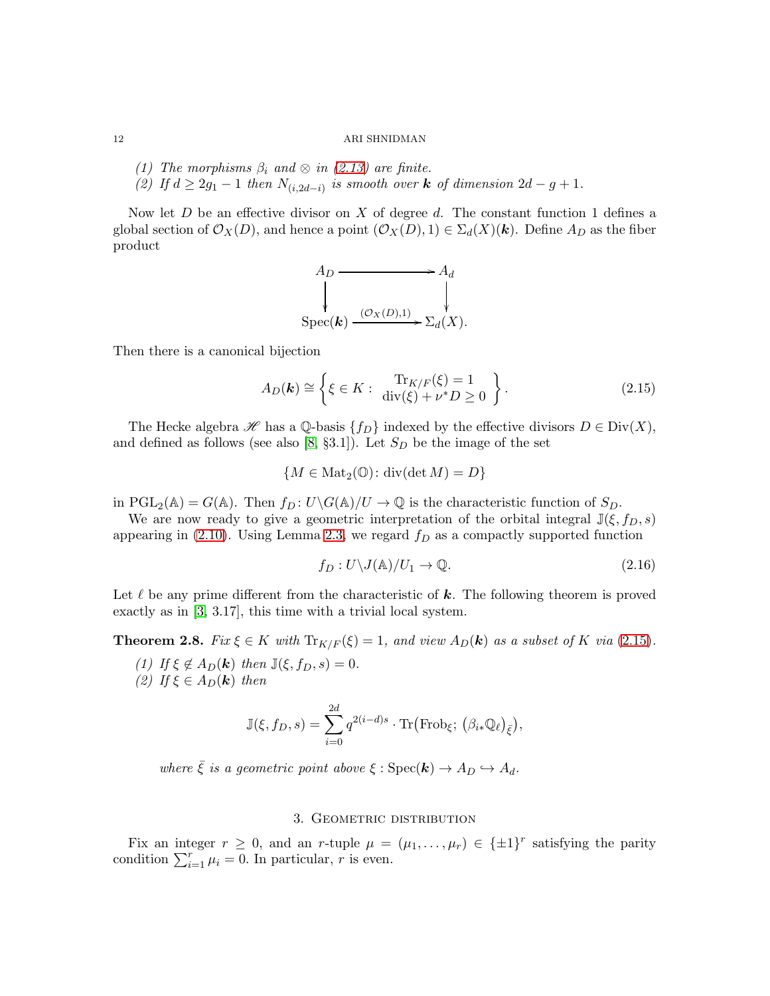- (1) The morphisms  $\beta_i$  and  $\otimes$  in [\(2.13\)](#page-10-0) are finite.
- (2) If  $d \geq 2g_1 1$  then  $N_{(i, 2d-i)}$  is smooth over **k** of dimension  $2d g + 1$ .

Now let  $D$  be an effective divisor on  $X$  of degree  $d$ . The constant function 1 defines a global section of  $\mathcal{O}_X(D)$ , and hence a point  $(\mathcal{O}_X(D), 1) \in \Sigma_d(X)(k)$ . Define  $A_D$  as the fiber product

$$
A_D \longrightarrow A_d
$$
  
Spec(**k**)  $\xrightarrow{(\mathcal{O}_X(D),1)} \sum_{d}(X)$ .

Then there is a canonical bijection

<span id="page-11-1"></span>
$$
A_D(\mathbf{k}) \cong \left\{ \xi \in K : \begin{array}{c} \text{Tr}_{K/F}(\xi) = 1 \\ \text{div}(\xi) + \nu^* D \ge 0 \end{array} \right\}.
$$
 (2.15)

The Hecke algebra  $\mathscr{H}$  has a Q-basis  $\{f_D\}$  indexed by the effective divisors  $D \in \text{Div}(X)$ , and defined as follows (see also [\[8,](#page-26-3)  $\S3.1$ ]). Let  $S_D$  be the image of the set

$$
\{M \in \text{Mat}_2(\mathbb{O}) : \text{div}(\det M) = D\}
$$

in  $PGL_2(\mathbb{A}) = G(\mathbb{A})$ . Then  $f_D: U\backslash G(\mathbb{A})/U \to \mathbb{Q}$  is the characteristic function of  $S_D$ .

We are now ready to give a geometric interpretation of the orbital integral  $\mathbb{J}(\xi, f_D, s)$ appearing in  $(2.10)$ . Using Lemma [2.3,](#page-6-0) we regard  $f_D$  as a compactly supported function

$$
f_D: U \setminus J(\mathbb{A})/U_1 \to \mathbb{Q}.\tag{2.16}
$$

Let  $\ell$  be any prime different from the characteristic of  $k$ . The following theorem is proved exactly as in [\[3,](#page-26-5) 3.17], this time with a trivial local system.

<span id="page-11-2"></span>**Theorem 2.8.** Fix  $\xi \in K$  with  $\text{Tr}_{K/F}(\xi) = 1$ , and view  $A_D(\mathbf{k})$  as a subset of K via (2.[15\)](#page-11-1).

(1) If  $\xi \notin A_D(\mathbf{k})$  then  $\mathbb{J}(\xi, f_D, s) = 0$ . (2) If  $\xi \in A_D(\mathbf{k})$  then

$$
\mathbb{J}(\xi, f_D, s) = \sum_{i=0}^{2d} q^{2(i-d)s} \cdot \text{Tr}(\text{Frob}_{\xi}; \left(\beta_{i*} \mathbb{Q}_{\ell}\right)_{\bar{\xi}}),
$$

where  $\bar{\xi}$  is a geometric point above  $\xi : \text{Spec}(\mathbf{k}) \to A_D \hookrightarrow A_d$ .

# 3. GEOMETRIC DISTRIBUTION

<span id="page-11-0"></span>Fix an integer  $r \geq 0$ , and an r-tuple  $\mu = (\mu_1, \ldots, \mu_r) \in {\{\pm 1\}}^r$  satisfying the parity condition  $\sum_{i=1}^{r} \mu_i = 0$ . In particular, r is even.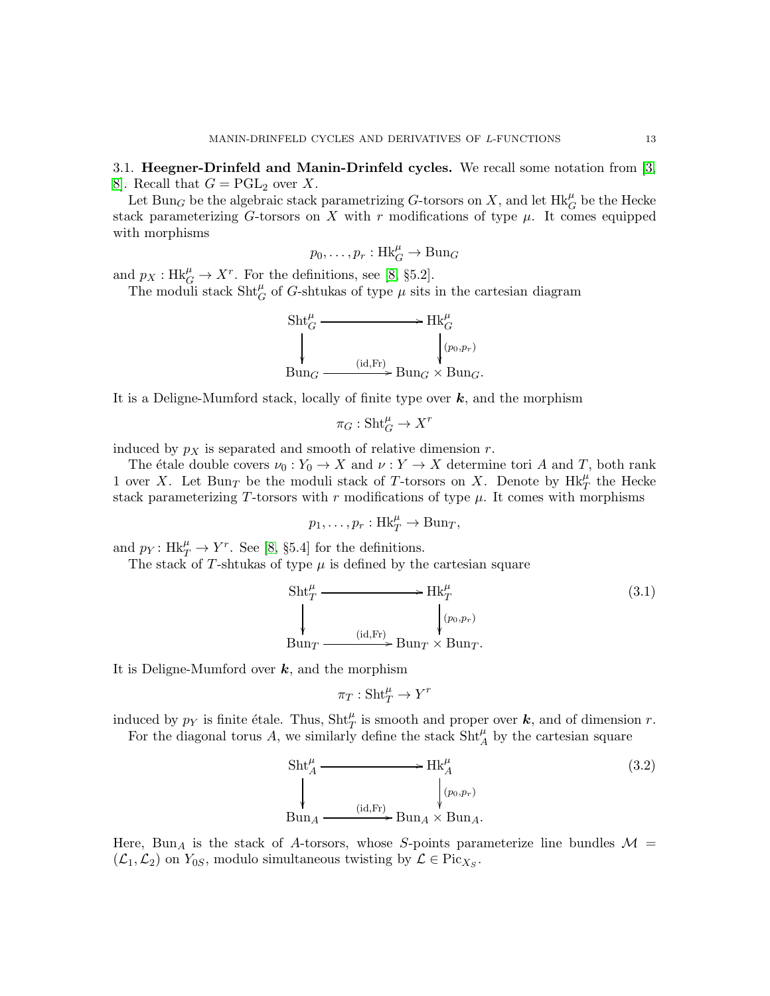3.1. Heegner-Drinfeld and Manin-Drinfeld cycles. We recall some notation from  $\mathfrak{g}$ , 8. Recall that  $G = \text{PGL}_2$  over X.

Let  $\text{Bun}_G$  be the algebraic stack parametrizing G-torsors on X, and let  $\text{Hk}_G^{\mu}$  be the Hecke stack parameterizing G-torsors on X with r modifications of type  $\mu$ . It comes equipped with morphisms

$$
p_0,\ldots,p_r:\textnormal{Hk}_G^{\mu}\to\textnormal{Bun}_G
$$

and  $p_X: \text{Hk}_G^{\mu} \to X^r$ . For the definitions, see [\[8,](#page-26-3) §5.2].

The moduli stack  $\text{Sht}_{G}^{\mu}$  of G-shtukas of type  $\mu$  sits in the cartesian diagram



It is a Deligne-Mumford stack, locally of finite type over  $k$ , and the morphism

$$
\pi_G: \operatorname{Sht}^{\mu}_G \to X^r
$$

induced by  $p<sub>X</sub>$  is separated and smooth of relative dimension  $r$ .

The étale double covers  $\nu_0 : Y_0 \to X$  and  $\nu : Y \to X$  determine tori A and T, both rank 1 over X. Let  $\text{Bun}_T$  be the moduli stack of T-torsors on X. Denote by  $Hk_T^{\mu}$  the Hecke stack parameterizing T-torsors with r modifications of type  $\mu$ . It comes with morphisms

$$
p_1,\ldots,p_r:\mathrm{Hk}_T^{\mu}\to \mathrm{Bun}_T,
$$

and  $p_Y: \text{Hk}_T^{\mu} \to Y^r$ . See [\[8,](#page-26-3) §5.4] for the definitions.

The stack of T-shtukas of type  $\mu$  is defined by the cartesian square

$$
\text{Sht}_{T}^{\mu} \longrightarrow \text{Hk}_{T}^{\mu} \tag{3.1}
$$
\n
$$
\downarrow \qquad \qquad \downarrow \qquad \qquad \downarrow \qquad \qquad \downarrow \qquad \qquad \downarrow \qquad \qquad \downarrow \qquad \qquad \downarrow \qquad \qquad \downarrow \qquad \qquad \downarrow \qquad \qquad \downarrow \qquad \qquad \downarrow \qquad \qquad \downarrow \qquad \qquad \downarrow \qquad \qquad \downarrow \qquad \qquad \downarrow \qquad \qquad \downarrow \qquad \qquad \downarrow \qquad \qquad \downarrow \qquad \qquad \downarrow \qquad \qquad \downarrow \qquad \qquad \downarrow \qquad \qquad \downarrow \qquad \qquad \downarrow \qquad \qquad \downarrow \qquad \qquad \downarrow \qquad \qquad \downarrow \qquad \qquad \downarrow \qquad \qquad \downarrow \qquad \qquad \downarrow \qquad \qquad \downarrow \qquad \qquad \downarrow \qquad \qquad \downarrow \qquad \qquad \downarrow \qquad \qquad \downarrow \qquad \qquad \downarrow \qquad \qquad \downarrow \qquad \qquad \downarrow \qquad \qquad \downarrow \qquad \qquad \downarrow \qquad \qquad \downarrow \qquad \qquad \downarrow \qquad \qquad \downarrow \qquad \qquad \downarrow \qquad \qquad \downarrow \qquad \qquad \downarrow \qquad \qquad \downarrow \qquad \qquad \downarrow \qquad \qquad \downarrow \qquad \qquad \downarrow \qquad \qquad \downarrow \qquad \qquad \downarrow \qquad \qquad \downarrow \qquad \qquad \downarrow \qquad \qquad \downarrow \qquad \qquad \downarrow \qquad \qquad \downarrow \qquad \qquad \downarrow \qquad \qquad \downarrow \qquad \qquad \downarrow \qquad \qquad \downarrow \qquad \qquad \downarrow \qquad \qquad \downarrow \qquad \qquad \downarrow \qquad \qquad \downarrow \qquad \qquad \downarrow \qquad \qquad \downarrow \qquad \qquad \downarrow \qquad \qquad \downarrow \qquad \qquad \downarrow \qquad \qquad \downarrow \qquad \qquad \downarrow \qquad \qquad \downarrow \qquad \qquad \downarrow \qquad \qquad \downarrow \qquad \qquad \downarrow \qquad \qquad \downarrow \qquad \qquad \downarrow \qquad \qquad \downarrow \qquad \qquad \downarrow \qquad \qquad \downarrow \qquad \q
$$

It is Deligne-Mumford over  $k$ , and the morphism

$$
\pi_T: \operatorname{Sht}_T^{\mu} \to Y^r
$$

induced by  $p_Y$  is finite étale. Thus,  $\text{Sht}_T^{\mu}$  is smooth and proper over  $k$ , and of dimension r. For the diagonal torus A, we similarly define the stack  $\text{Sht}_{A}^{\mu}$  by the cartesian square

$$
\text{Sht}_{A}^{\mu} \longrightarrow \text{Hk}_{A}^{\mu} \qquad (3.2)
$$
\n
$$
\downarrow \qquad \qquad \downarrow \qquad (3.2)
$$
\n
$$
\text{Bun}_{A} \longrightarrow \text{Bun}_{A} \times \text{Bun}_{A}.
$$

Here, Bun<sub>A</sub> is the stack of A-torsors, whose S-points parameterize line bundles  $\mathcal{M} =$  $(\mathcal{L}_1, \mathcal{L}_2)$  on  $Y_{0S}$ , modulo simultaneous twisting by  $\mathcal{L} \in \text{Pic}_{X_S}$ .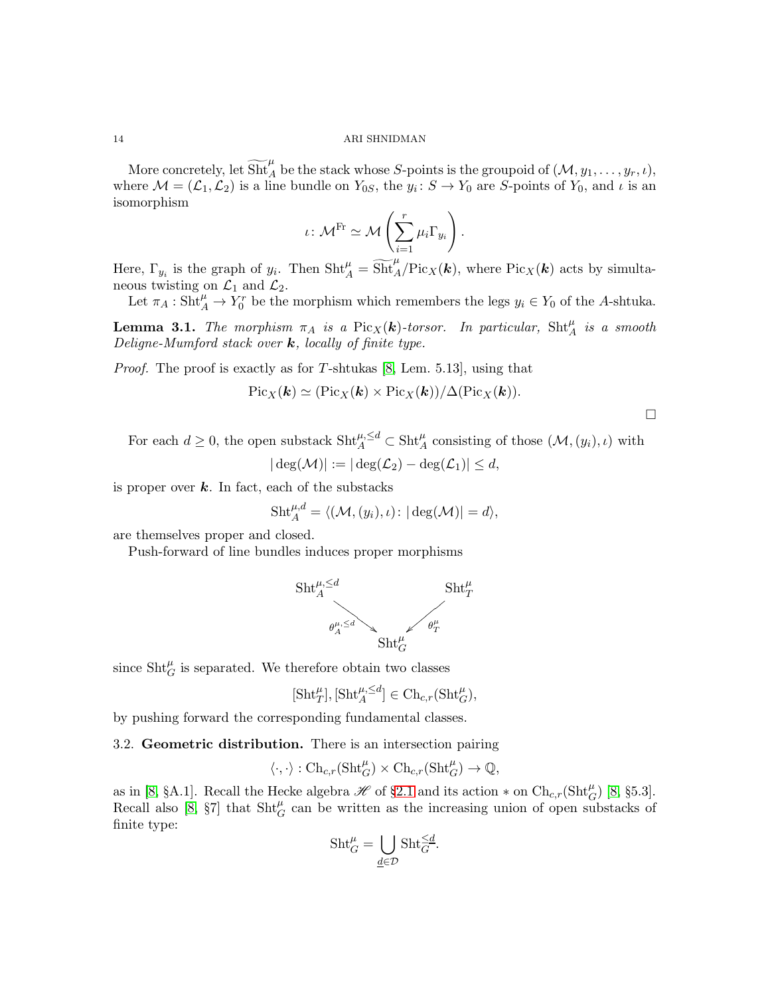More concretely, let  $\widetilde{\text{Sht}}^\mu_A$  be the stack whose S-points is the groupoid of  $(\mathcal{M}, y_1, \ldots, y_r, \iota)$ , where  $\mathcal{M} = (\mathcal{L}_1, \mathcal{L}_2)$  is a line bundle on  $Y_{0S}$ , the  $y_i \colon S \to Y_0$  are S-points of  $Y_0$ , and  $\iota$  is an isomorphism

$$
\iota \colon \mathcal{M}^{\mathrm{Fr}} \simeq \mathcal{M}\left(\sum_{i=1}^r \mu_i \Gamma_{y_i}\right).
$$

Here,  $\Gamma_{y_i}$  is the graph of  $y_i$ . Then  $\text{Sht}^{\mu}_A = \widetilde{\text{Sht}}^{\mu}_A/\text{Pic}_X(\boldsymbol{k})$ , where  $\text{Pic}_X(\boldsymbol{k})$  acts by simultaneous twisting on  $\mathcal{L}_1$  and  $\mathcal{L}_2$ .

Let  $\pi_A : \text{Sht}_A^{\mu} \to Y_0^r$  be the morphism which remembers the legs  $y_i \in Y_0$  of the A-shtuka.

**Lemma 3.1.** The morphism  $\pi_A$  is a Pic<sub>X</sub>(k)-torsor. In particular,  $\text{Sht}_A^{\mu}$  is a smooth Deligne-Mumford stack over  $k$ , locally of finite type.

Proof. The proof is exactly as for T-shtukas [\[8,](#page-26-3) Lem. 5.13], using that

$$
\mathrm{Pic}_X(\mathbf{k}) \simeq (\mathrm{Pic}_X(\mathbf{k}) \times \mathrm{Pic}_X(\mathbf{k}))/\Delta(\mathrm{Pic}_X(\mathbf{k})).
$$

 $\Box$ 

For each  $d \geq 0$ , the open substack  $\text{Sht}_{A}^{\mu, \leq d} \subset \text{Sht}_{A}^{\mu}$  consisting of those  $(\mathcal{M}, (y_i), \iota)$  with

$$
|\deg(\mathcal{M})| := |\deg(\mathcal{L}_2) - \deg(\mathcal{L}_1)| \leq d,
$$

is proper over  $k$ . In fact, each of the substacks

$$
\text{Sht}_{A}^{\mu,d} = \langle (\mathcal{M}, (y_i), \iota) : |\deg(\mathcal{M})| = d \rangle,
$$

are themselves proper and closed.

Push-forward of line bundles induces proper morphisms



since  $\textnormal{Sht}^{\mu}_G$  is separated. We therefore obtain two classes

$$
[\text{Sht}^{\mu}_{T}], [\text{Sht}^{\mu, \leq d}_{A}] \in \text{Ch}_{c,r}(\text{Sht}^{\mu}_{G}),
$$

by pushing forward the corresponding fundamental classes.

3.2. Geometric distribution. There is an intersection pairing

$$
\langle \cdot, \cdot \rangle : \mathrm{Ch}_{c,r}(\mathrm{Sht}_G^\mu) \times \mathrm{Ch}_{c,r}(\mathrm{Sht}_G^\mu) \to \mathbb{Q},
$$

as in [\[8,](#page-26-3) §A.1]. Recall the Hecke algebra  $\mathscr H$  of §[2.1](#page-5-3) and its action  $*$  on  $\mathrm{Ch}_{c,r}(\mathrm{Sht}_G^{\mu})$  [8, §5.3]. Recall also [\[8,](#page-26-3)  $\S7$ ] that  $\text{Sht}_{G}^{\mu}$  can be written as the increasing union of open substacks of finite type:

$$
\textnormal{Sht}_G^{\mu} = \bigcup_{\underline{d} \in \mathcal{D}} \textnormal{Sht}_{G}^{\leq \underline{d}}.
$$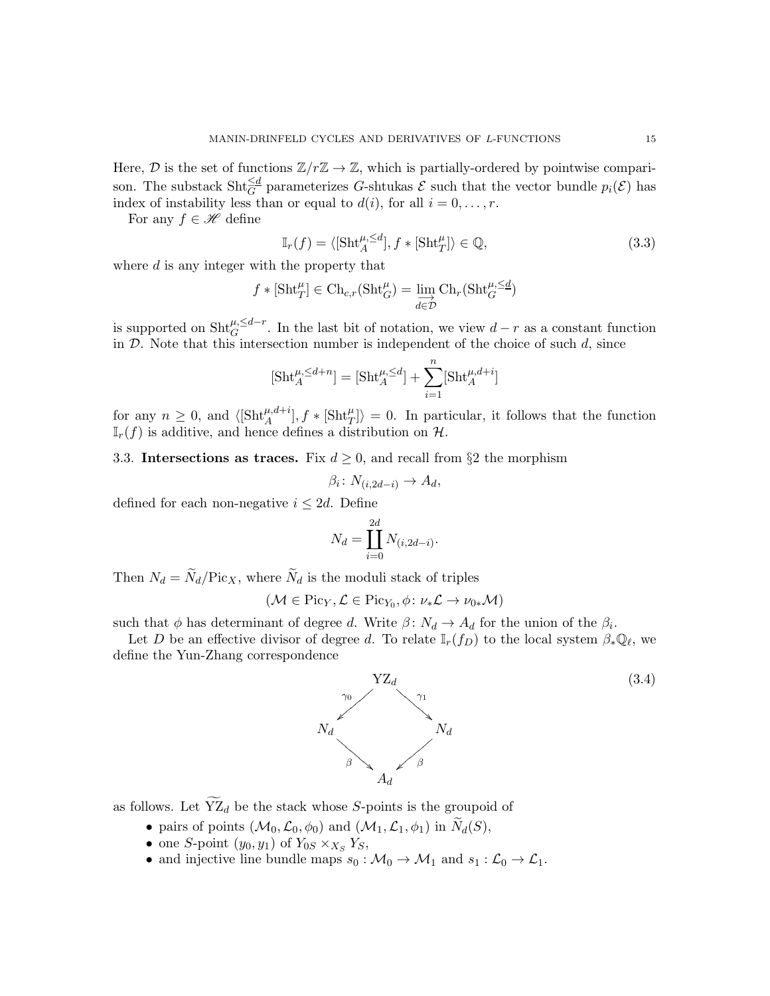Here,  $\mathcal D$  is the set of functions  $\mathbb Z/T\mathbb Z \to \mathbb Z$ , which is partially-ordered by pointwise comparison. The substack  $\text{Sht}_{G}^{\leq d}$  parameterizes G-shtukas  $\mathcal E$  such that the vector bundle  $p_i(\mathcal E)$  has index of instability less than or equal to  $d(i)$ , for all  $i = 0, \ldots, r$ .

For any  $f \in \mathscr{H}$  define

<span id="page-14-1"></span>
$$
\mathbb{I}_r(f) = \langle [\text{Sht}_A^{\mu, \leq d}], f * [\text{Sht}_T^{\mu}] \rangle \in \mathbb{Q},\tag{3.3}
$$

where  $d$  is any integer with the property that

$$
f * [\text{Sht}^{\mu}_{T}] \in \text{Ch}_{c,r}(\text{Sht}^{\mu}_{G}) = \varinjlim_{d \in \mathcal{D}} \text{Ch}_{r}(\text{Sht}^{\mu, \leq d}_{G})
$$

is supported on  $\text{Sht}_{G}^{\mu,\leq d-r}$ . In the last bit of notation, we view  $d-r$  as a constant function in  $D$ . Note that this intersection number is independent of the choice of such  $d$ , since

$$
[\textnormal{Sht}^{\mu,\leq d+n}_A]=[\textnormal{Sht}^{\mu,\leq d}_A]+\sum_{i=1}^n[\textnormal{Sht}^{\mu,d+i}_A]
$$

for any  $n \geq 0$ , and  $\langle [\text{Sht}^{\mu,d+i}_A], f * [\text{Sht}^{\mu}_T] \rangle = 0$ . In particular, it follows that the function  $\mathbb{I}_r(f)$  is additive, and hence defines a distribution on H.

3.3. Intersections as traces. Fix  $d \geq 0$ , and recall from §2 the morphism

$$
\beta_i \colon N_{(i, 2d - i)} \to A_d,
$$

defined for each non-negative  $i \leq 2d$ . Define

$$
N_d = \coprod_{i=0}^{2d} N_{(i,2d-i)}.
$$

Then  $N_d = N_d / \text{Pic}_X$ , where  $N_d$  is the moduli stack of triples

$$
(\mathcal{M} \in \text{Pic}_{Y}, \mathcal{L} \in \text{Pic}_{Y_0}, \phi \colon \nu_* \mathcal{L} \to \nu_{0*} \mathcal{M})
$$

such that  $\phi$  has determinant of degree d. Write  $\beta \colon N_d \to A_d$  for the union of the  $\beta_i$ .

Let D be an effective divisor of degree d. To relate  $\mathbb{I}_r(f_D)$  to the local system  $\beta_*\mathbb{Q}_\ell$ , we define the Yun-Zhang correspondence

<span id="page-14-0"></span>

as follows. Let  $\widetilde{YZ}_d$  be the stack whose S-points is the groupoid of

- pairs of points  $(\mathcal{M}_0, \mathcal{L}_0, \phi_0)$  and  $(\mathcal{M}_1, \mathcal{L}_1, \phi_1)$  in  $N_d(S)$ ,
- one S-point  $(y_0, y_1)$  of  $Y_{0S} \times_{X_S} Y_S$ ,
- and injective line bundle maps  $s_0 : \mathcal{M}_0 \to \mathcal{M}_1$  and  $s_1 : \mathcal{L}_0 \to \mathcal{L}_1$ .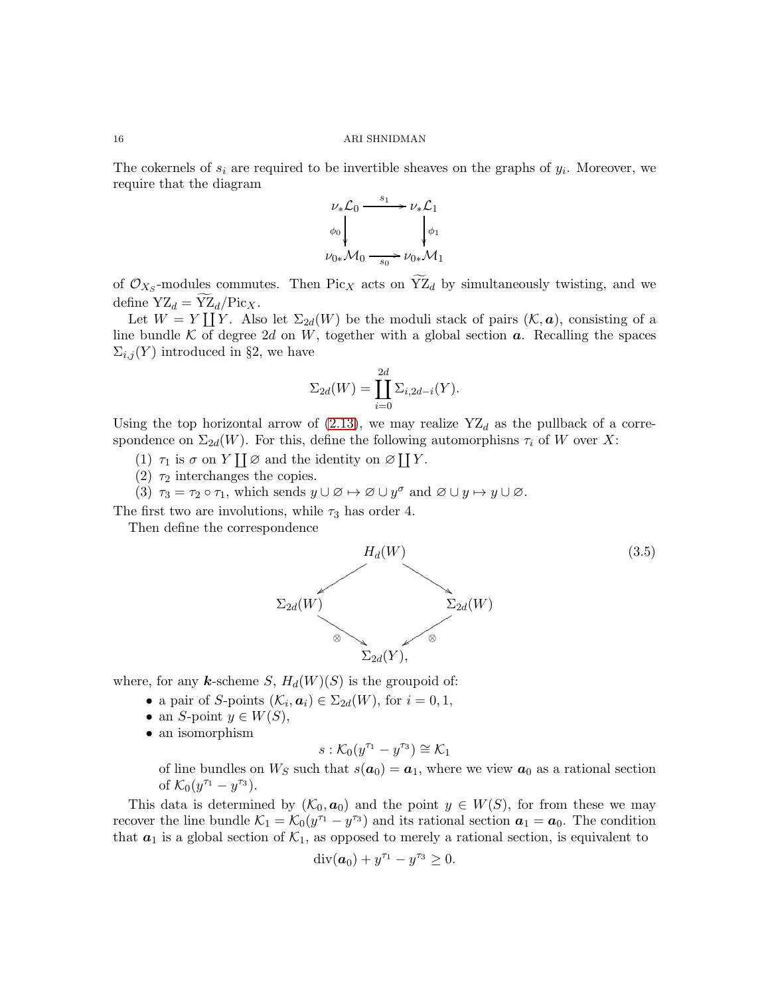The cokernels of  $s_i$  are required to be invertible sheaves on the graphs of  $y_i$ . Moreover, we require that the diagram



of  $\mathcal{O}_{X_S}$ -modules commutes. Then Pic<sub>X</sub> acts on YZ<sub>d</sub> by simultaneously twisting, and we define  $YZ_d = YZ_d/Pic_X$ .

Let  $W = Y \coprod Y$ . Also let  $\Sigma_{2d}(W)$  be the moduli stack of pairs  $(\mathcal{K}, \boldsymbol{a})$ , consisting of a line bundle K of degree 2d on W, together with a global section  $a$ . Recalling the spaces  $\Sigma_{i,j}(Y)$  introduced in §2, we have

$$
\Sigma_{2d}(W) = \coprod_{i=0}^{2d} \Sigma_{i,2d-i}(Y).
$$

Using the top horizontal arrow of [\(2.13\)](#page-10-0), we may realize  $YZ_d$  as the pullback of a correspondence on  $\Sigma_{2d}(W)$ . For this, define the following automorphisns  $\tau_i$  of W over X:

- (1)  $\tau_1$  is  $\sigma$  on  $Y \coprod \varnothing$  and the identity on  $\varnothing \coprod Y$ .
- (2)  $\tau_2$  interchanges the copies.
- (3)  $\tau_3 = \tau_2 \circ \tau_1$ , which sends  $y \cup \varnothing \mapsto \varnothing \cup y^\sigma$  and  $\varnothing \cup y \mapsto y \cup \varnothing$ .

The first two are involutions, while  $\tau_3$  has order 4.

Then define the correspondence

<span id="page-15-0"></span>

where, for any **k**-scheme  $S$ ,  $H_d(W)(S)$  is the groupoid of:

- a pair of S-points  $(\mathcal{K}_i, a_i) \in \Sigma_{2d}(W)$ , for  $i = 0, 1$ ,
- an S-point  $y \in W(S)$ ,
- an isomorphism

$$
s:\mathcal{K}_0(y^{\tau_1}-y^{\tau_3})\cong \mathcal{K}_1
$$

of line bundles on  $W_S$  such that  $s(a_0) = a_1$ , where we view  $a_0$  as a rational section of  $\mathcal{K}_0(y^{\tau_1} - y^{\tau_3}).$ 

This data is determined by  $(\mathcal{K}_0, \mathbf{a}_0)$  and the point  $y \in W(S)$ , for from these we may recover the line bundle  $\mathcal{K}_1 = \mathcal{K}_0(y^{\tau_1} - y^{\tau_3})$  and its rational section  $a_1 = a_0$ . The condition that  $a_1$  is a global section of  $\mathcal{K}_1$ , as opposed to merely a rational section, is equivalent to

$$
\mathrm{div}(\bm{a}_0) + y^{\tau_1} - y^{\tau_3} \geq 0.
$$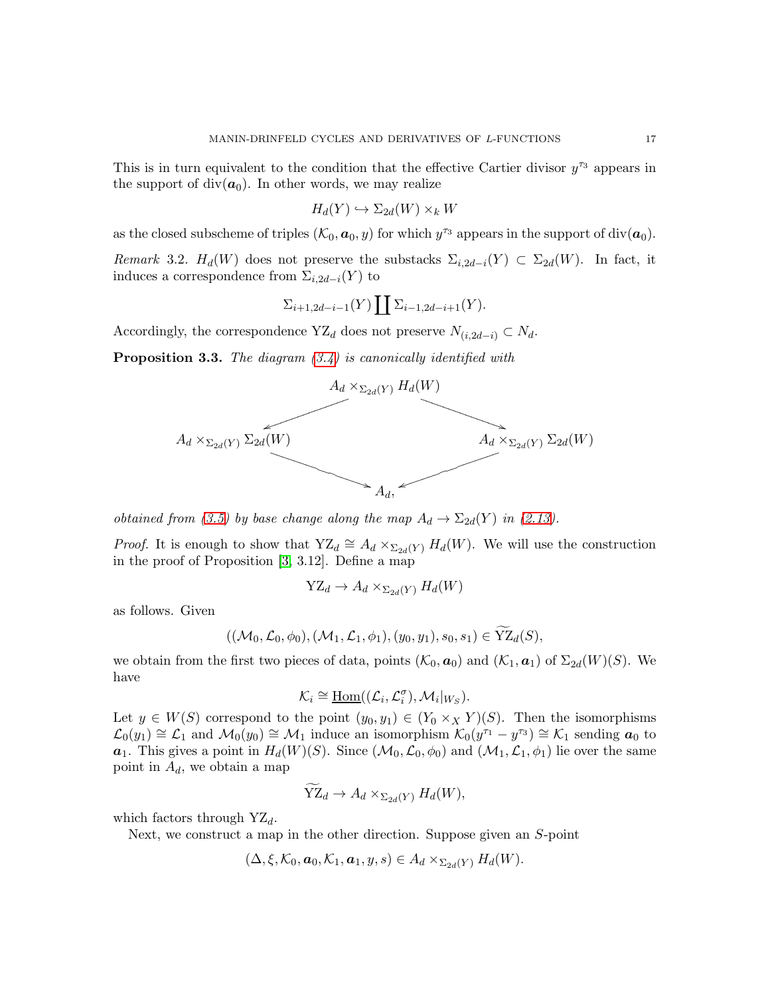This is in turn equivalent to the condition that the effective Cartier divisor  $y^{\tau_3}$  appears in the support of  $div(a_0)$ . In other words, we may realize

$$
H_d(Y) \hookrightarrow \Sigma_{2d}(W) \times_k W
$$

as the closed subscheme of triples  $(\mathcal{K}_0, \mathbf{a}_0, y)$  for which  $y^{\tau_3}$  appears in the support of div $(\mathbf{a}_0)$ .

<span id="page-16-1"></span>Remark 3.2.  $H_d(W)$  does not preserve the substacks  $\Sigma_{i,2d-i}(Y) \subset \Sigma_{2d}(W)$ . In fact, it induces a correspondence from  $\Sigma_{i,2d-i}(Y)$  to

$$
\Sigma_{i+1,2d-i-1}(Y) \coprod \Sigma_{i-1,2d-i+1}(Y).
$$

Accordingly, the correspondence YZ<sub>d</sub> does not preserve  $N_{(i,2d-i)} \subset N_d$ .

<span id="page-16-0"></span>**Proposition 3.3.** The diagram  $(3.4)$  is canonically identified with



obtained from [\(3.5\)](#page-15-0) by base change along the map  $A_d \to \Sigma_{2d}(Y)$  in [\(2.13\)](#page-10-0).

*Proof.* It is enough to show that  $YZ_d \cong A_d \times_{\Sigma_{2d}(Y)} H_d(W)$ . We will use the construction in the proof of Proposition [\[3,](#page-26-5) 3.12]. Define a map

$$
YZ_d \to A_d \times_{\Sigma_{2d}(Y)} H_d(W)
$$

as follows. Given

$$
((\mathcal{M}_0, \mathcal{L}_0, \phi_0), (\mathcal{M}_1, \mathcal{L}_1, \phi_1), (y_0, y_1), s_0, s_1) \in \mathrm{YZ}_d(S),
$$

we obtain from the first two pieces of data, points  $(\mathcal{K}_0, \mathbf{a}_0)$  and  $(\mathcal{K}_1, \mathbf{a}_1)$  of  $\Sigma_{2d}(W)(S)$ . We have

$$
\mathcal{K}_i \cong \underline{\mathrm{Hom}}((\mathcal{L}_i, \mathcal{L}_i^{\sigma}), \mathcal{M}_i|_{W_S}).
$$

Let  $y \in W(S)$  correspond to the point  $(y_0, y_1) \in (Y_0 \times_X Y)(S)$ . Then the isomorphisms  $\mathcal{L}_0(y_1) \cong \mathcal{L}_1$  and  $\mathcal{M}_0(y_0) \cong \mathcal{M}_1$  induce an isomorphism  $\mathcal{K}_0(y^{\tau_1} - y^{\tau_3}) \cong \mathcal{K}_1$  sending  $a_0$  to  $a_1$ . This gives a point in  $H_d(W)(S)$ . Since  $(\mathcal{M}_0, \mathcal{L}_0, \phi_0)$  and  $(\mathcal{M}_1, \mathcal{L}_1, \phi_1)$  lie over the same point in  $A_d$ , we obtain a map

$$
\text{YZ}_d \to A_d \times_{\Sigma_{2d}(Y)} H_d(W),
$$

which factors through  $YZ_d$ .

Next, we construct a map in the other direction. Suppose given an S-point

$$
(\Delta, \xi, \mathcal{K}_0, \mathbf{a}_0, \mathcal{K}_1, \mathbf{a}_1, y, s) \in A_d \times_{\Sigma_{2d}(Y)} H_d(W).
$$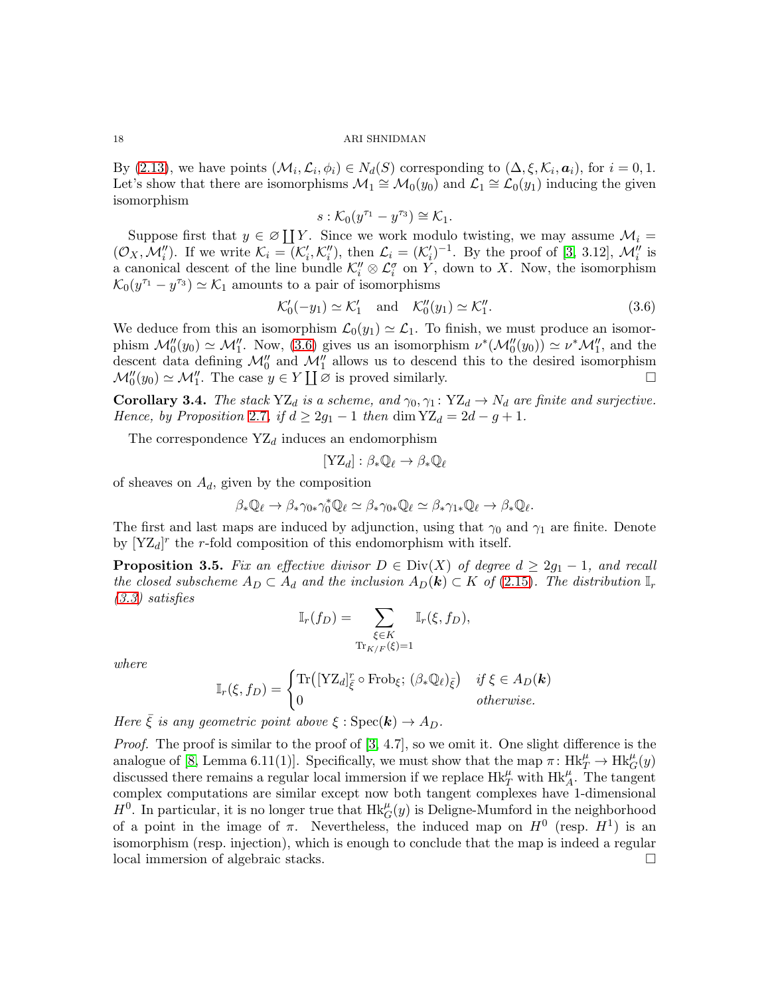By [\(2.13\)](#page-10-0), we have points  $(\mathcal{M}_i, \mathcal{L}_i, \phi_i) \in N_d(S)$  corresponding to  $(\Delta, \xi, \mathcal{K}_i, \mathbf{a}_i)$ , for  $i = 0, 1$ . Let's show that there are isomorphisms  $\mathcal{M}_1 \cong \mathcal{M}_0(y_0)$  and  $\mathcal{L}_1 \cong \mathcal{L}_0(y_1)$  inducing the given isomorphism

$$
s:\mathcal{K}_0(y^{\tau_1}-y^{\tau_3})\cong \mathcal{K}_1.
$$

Suppose first that  $y \in \mathcal{D} \coprod Y$ . Since we work modulo twisting, we may assume  $\mathcal{M}_i =$  $(\mathcal{O}_X, \mathcal{M}_i'')$ . If we write  $\mathcal{K}_i = (\mathcal{K}_i', \mathcal{K}_i'')$ , then  $\mathcal{L}_i = (\mathcal{K}_i')^{-1}$ . By the proof of [\[3,](#page-26-5) 3.12],  $\mathcal{M}_i''$  is a canonical descent of the line bundle  $\mathcal{K}'_i \otimes \mathcal{L}^{\sigma}_i$  on Y, down to X. Now, the isomorphism  $\mathcal{K}_0(y^{\tau_1}-y^{\tau_3}) \simeq \mathcal{K}_1$  amounts to a pair of isomorphisms

<span id="page-17-0"></span>
$$
\mathcal{K}'_0(-y_1) \simeq \mathcal{K}'_1 \quad \text{and} \quad \mathcal{K}''_0(y_1) \simeq \mathcal{K}''_1. \tag{3.6}
$$

We deduce from this an isomorphism  $\mathcal{L}_0(y_1) \simeq \mathcal{L}_1$ . To finish, we must produce an isomorphism  $\mathcal{M}_0''(y_0) \simeq \mathcal{M}_1''$ . Now, [\(3.6\)](#page-17-0) gives us an isomorphism  $\nu^*(\mathcal{M}_0''(y_0)) \simeq \nu^*\mathcal{M}_1''$ , and the descent data defining  $\mathcal{M}_0''$  and  $\mathcal{M}_1''$  allows us to descend this to the desired isomorphism  $\mathcal{M}_0''(y_0) \simeq \mathcal{M}_1''$ . The case  $y \in Y \coprod \emptyset$  is proved similarly.

**Corollary 3.4.** The stack  $YZ_d$  is a scheme, and  $\gamma_0, \gamma_1 : YZ_d \to N_d$  are finite and surjective. Hence, by Proposition [2](#page-10-1).7, if  $d \geq 2g_1 - 1$  then dim  $YZ_d = 2d - g + 1$ .

The correspondence  $YZ_d$  induces an endomorphism

$$
[YZ_d] : \beta_* \mathbb{Q}_\ell \to \beta_* \mathbb{Q}_\ell
$$

of sheaves on  $A_d$ , given by the composition

$$
\beta_* \mathbb{Q}_{\ell} \to \beta_* \gamma_{0*} \gamma_0^* \mathbb{Q}_{\ell} \simeq \beta_* \gamma_{0*} \mathbb{Q}_{\ell} \simeq \beta_* \gamma_{1*} \mathbb{Q}_{\ell} \to \beta_* \mathbb{Q}_{\ell}.
$$

The first and last maps are induced by adjunction, using that  $\gamma_0$  and  $\gamma_1$  are finite. Denote by  $[YZ_d]^r$  the r-fold composition of this endomorphism with itself.

<span id="page-17-1"></span>**Proposition 3.5.** Fix an effective divisor  $D \in Div(X)$  of degree  $d \geq 2g_1 - 1$ , and recall the closed subscheme  $A_D \subset A_d$  and the inclusion  $A_D(\mathbf{k}) \subset K$  of (2.[15\)](#page-11-1). The distribution  $\mathbb{I}_r$ [\(3.3\)](#page-14-1) satisfies

$$
\mathbb{I}_r(f_D) = \sum_{\substack{\xi \in K \\ \text{Tr}_{K/F}(\xi) = 1}} \mathbb{I}_r(\xi, f_D),
$$

where

$$
\mathbb{I}_r(\xi, f_D) = \begin{cases} \text{Tr}\big( [\text{YZ}_d]_{\bar{\xi}}^r \circ \text{Frob}_{\xi}; \, (\beta_* \mathbb{Q}_\ell)_{\bar{\xi}} \big) & \text{if } \xi \in A_D(\mathbf{k}) \\ 0 & \text{otherwise.} \end{cases}
$$

Here  $\bar{\xi}$  is any geometric point above  $\xi : \text{Spec}(\mathbf{k}) \to A_D$ .

*Proof.* The proof is similar to the proof of  $[3, 4.7]$ , so we omit it. One slight difference is the analogue of [\[8,](#page-26-3) Lemma 6.11(1)]. Specifically, we must show that the map  $\pi: \text{Hk}_T^{\mu} \to \text{Hk}_G^{\mu}(y)$ discussed there remains a regular local immersion if we replace  $Hk_T^{\mu}$  with  $Hk_A^{\mu}$ . The tangent complex computations are similar except now both tangent complexes have 1-dimensional  $H^0$ . In particular, it is no longer true that  $Hk_G^{\mu}(y)$  is Deligne-Mumford in the neighborhood of a point in the image of  $\pi$ . Nevertheless, the induced map on  $H^0$  (resp.  $H^1$ ) is an isomorphism (resp. injection), which is enough to conclude that the map is indeed a regular local immersion of algebraic stacks.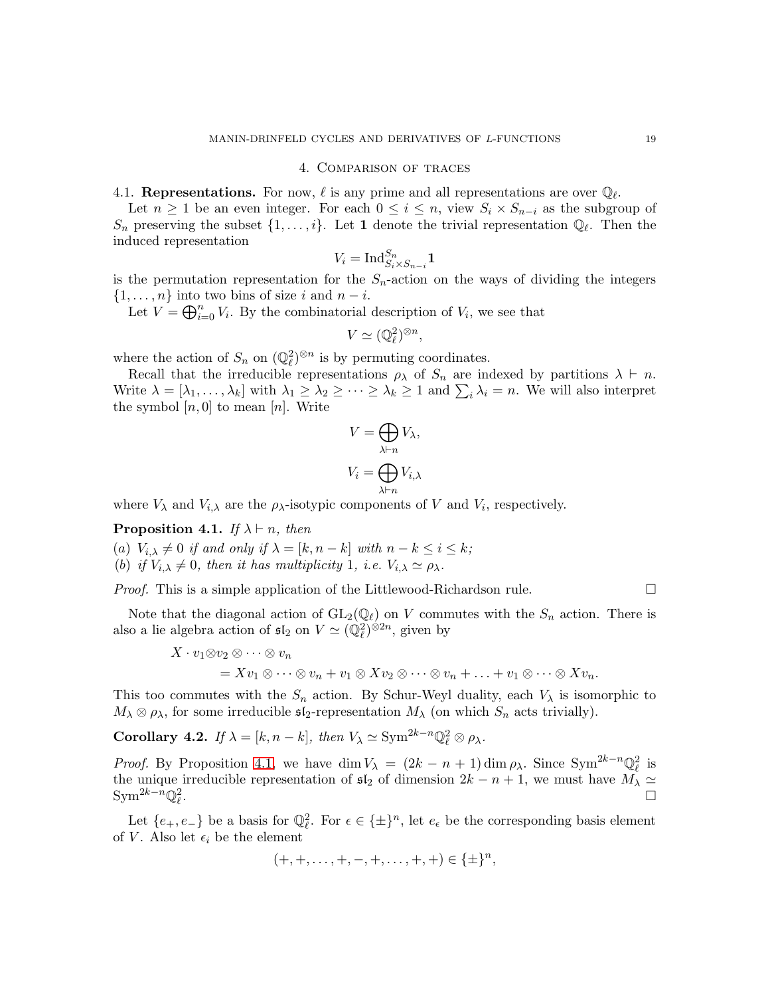## 4. Comparison of traces

4.1. **Representations.** For now,  $\ell$  is any prime and all representations are over  $\mathbb{Q}_{\ell}$ .

Let  $n \geq 1$  be an even integer. For each  $0 \leq i \leq n$ , view  $S_i \times S_{n-i}$  as the subgroup of  $S_n$  preserving the subset  $\{1, \ldots, i\}$ . Let 1 denote the trivial representation  $\mathbb{Q}_{\ell}$ . Then the induced representation

$$
V_i=\mathrm{Ind}_{S_i\times S_{n-i}}^{S_n} \mathbf{1}
$$

is the permutation representation for the  $S_n$ -action on the ways of dividing the integers  $\{1, \ldots, n\}$  into two bins of size i and  $n - i$ .

Let  $V = \bigoplus_{i=0}^{n} V_i$ . By the combinatorial description of  $V_i$ , we see that

$$
V \simeq (\mathbb{Q}_{\ell}^2)^{\otimes n},
$$

where the action of  $S_n$  on  $(\mathbb{Q}_{\ell}^2)^{\otimes n}$  is by permuting coordinates.

Recall that the irreducible representations  $\rho_{\lambda}$  of  $S_n$  are indexed by partitions  $\lambda \vdash n$ . Write  $\lambda = [\lambda_1, \ldots, \lambda_k]$  with  $\lambda_1 \geq \lambda_2 \geq \cdots \geq \lambda_k \geq 1$  and  $\sum_i \lambda_i = n$ . We will also interpret the symbol  $[n, 0]$  to mean  $[n]$ . Write

$$
V = \bigoplus_{\lambda \vdash n} V_{\lambda},
$$
  

$$
V_i = \bigoplus_{\lambda \vdash n} V_{i,\lambda}
$$

where  $V_{\lambda}$  and  $V_{i,\lambda}$  are the  $\rho_{\lambda}$ -isotypic components of V and  $V_i$ , respectively.

<span id="page-18-0"></span>**Proposition 4.1.** If  $\lambda \vdash n$ , then

(a)  $V_{i,\lambda} \neq 0$  if and only if  $\lambda = [k, n-k]$  with  $n-k \leq i \leq k$ ;

(b) if  $V_{i,\lambda} \neq 0$ , then it has multiplicity 1, i.e.  $V_{i,\lambda} \simeq \rho_{\lambda}$ .

*Proof.* This is a simple application of the Littlewood-Richardson rule.  $\Box$ 

Note that the diagonal action of  $GL_2(\mathbb{Q}_\ell)$  on V commutes with the  $S_n$  action. There is also a lie algebra action of  $\mathfrak{sl}_2$  on  $V \simeq (\mathbb{Q}_\ell^2)^{\otimes 2n}$ , given by

$$
X \cdot v_1 \otimes v_2 \otimes \cdots \otimes v_n
$$
  
=  $Xv_1 \otimes \cdots \otimes v_n + v_1 \otimes Xv_2 \otimes \cdots \otimes v_n + \ldots + v_1 \otimes \cdots \otimes Xv_n.$ 

This too commutes with the  $S_n$  action. By Schur-Weyl duality, each  $V_\lambda$  is isomorphic to  $M_{\lambda} \otimes \rho_{\lambda}$ , for some irreducible  $\mathfrak{sl}_2$ -representation  $M_{\lambda}$  (on which  $S_n$  acts trivially).

<span id="page-18-1"></span>**Corollary 4.2.** If  $\lambda = [k, n-k]$ , then  $V_{\lambda} \simeq \text{Sym}^{2k-n} \mathbb{Q}_{\ell}^2 \otimes \rho_{\lambda}$ .

*Proof.* By Proposition [4.1,](#page-18-0) we have dim  $V_{\lambda} = (2k - n + 1) \dim \rho_{\lambda}$ . Since Sym<sup>2k-n</sup> $\mathbb{Q}_{\ell}^2$  is the unique irreducible representation of  $\mathfrak{sl}_2$  of dimension  $2k - n + 1$ , we must have  $M_\lambda \simeq$ Sym<sup>2k−n</sup> $\mathbb{Q}_{\ell}^2$ .

Let  $\{e_+, e_-\}$  be a basis for  $\mathbb{Q}_{\ell}^2$ . For  $\epsilon \in {\pm}^n$ , let  $e_{\epsilon}$  be the corresponding basis element of V. Also let  $\epsilon_i$  be the element

$$
(+, +, \ldots, +, -, +, \ldots, +, +) \in \{\pm\}^n,
$$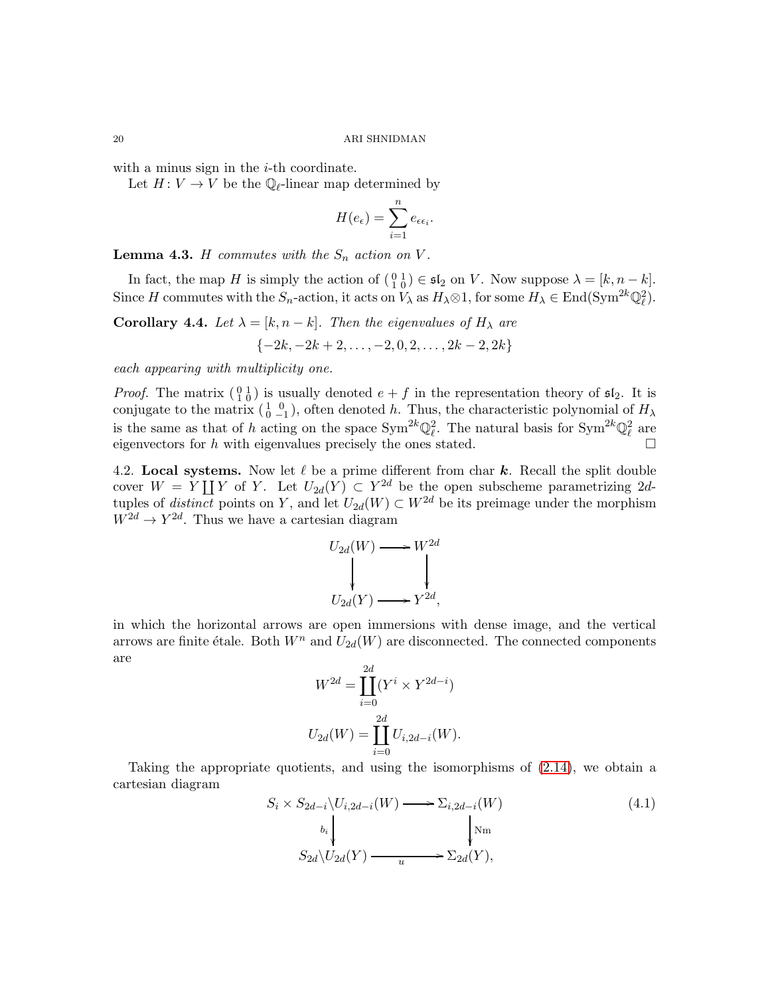with a minus sign in the  $i$ -th coordinate.

Let  $H: V \to V$  be the  $\mathbb{Q}_{\ell}$ -linear map determined by

$$
H(e_{\epsilon}) = \sum_{i=1}^{n} e_{\epsilon \epsilon_i}.
$$

**Lemma 4.3.** H commutes with the  $S_n$  action on V.

In fact, the map H is simply the action of  $\begin{pmatrix} 0 & 1 \\ 1 & 0 \end{pmatrix} \in \mathfrak{sl}_2$  on V. Now suppose  $\lambda = [k, n-k]$ . Since H commutes with the  $S_n$ -action, it acts on  $V_\lambda$  as  $H_\lambda \otimes 1$ , for some  $H_\lambda \in \text{End}(\text{Sym}^{2k}\mathbb{Q}_\ell^2)$ .

<span id="page-19-0"></span>**Corollary 4.4.** Let  $\lambda = [k, n-k]$ . Then the eigenvalues of  $H_{\lambda}$  are

$$
\{-2k, -2k+2, \ldots, -2, 0, 2, \ldots, 2k-2, 2k\}
$$

each appearing with multiplicity one.

*Proof.* The matrix  $\begin{pmatrix} 0 & 1 \\ 1 & 0 \end{pmatrix}$  is usually denoted  $e + f$  in the representation theory of  $\mathfrak{sl}_2$ . It is conjugate to the matrix  $(\begin{smallmatrix} 1 & 0 \\ 0 & -1 \end{smallmatrix})$ , often denoted h. Thus, the characteristic polynomial of  $H_{\lambda}$ is the same as that of h acting on the space  $\text{Sym}^{2k}\mathbb{Q}_{\ell}^2$ . The natural basis for  $\text{Sym}^{2k}\mathbb{Q}_{\ell}^2$  are eigenvectors for h with eigenvalues precisely the ones stated.  $\square$ 

4.2. Local systems. Now let  $\ell$  be a prime different from char  $k$ . Recall the split double cover  $W = Y \coprod Y$  of Y. Let  $U_{2d}(Y) \subset Y^{2d}$  be the open subscheme parametrizing 2dtuples of *distinct* points on Y, and let  $U_{2d}(W) \subset W^{2d}$  be its preimage under the morphism  $W^{2d} \to Y^{2d}$ . Thus we have a cartesian diagram



in which the horizontal arrows are open immersions with dense image, and the vertical arrows are finite étale. Both  $W^n$  and  $U_{2d}(W)$  are disconnected. The connected components are

$$
W^{2d} = \prod_{i=0}^{2d} (Y^i \times Y^{2d-i})
$$
  

$$
U_{2d}(W) = \prod_{i=0}^{2d} U_{i,2d-i}(W).
$$

Taking the appropriate quotients, and using the isomorphisms of [\(2.14\)](#page-10-2), we obtain a cartesian diagram

$$
S_i \times S_{2d-i} \backslash U_{i,2d-i}(W) \longrightarrow \Sigma_{i,2d-i}(W)
$$
\n
$$
b_i \downarrow \qquad \qquad \downarrow \qquad \qquad \downarrow \qquad \qquad \downarrow
$$
\n
$$
S_{2d} \backslash U_{2d}(Y) \longrightarrow \Sigma_{2d}(Y),
$$
\n(4.1)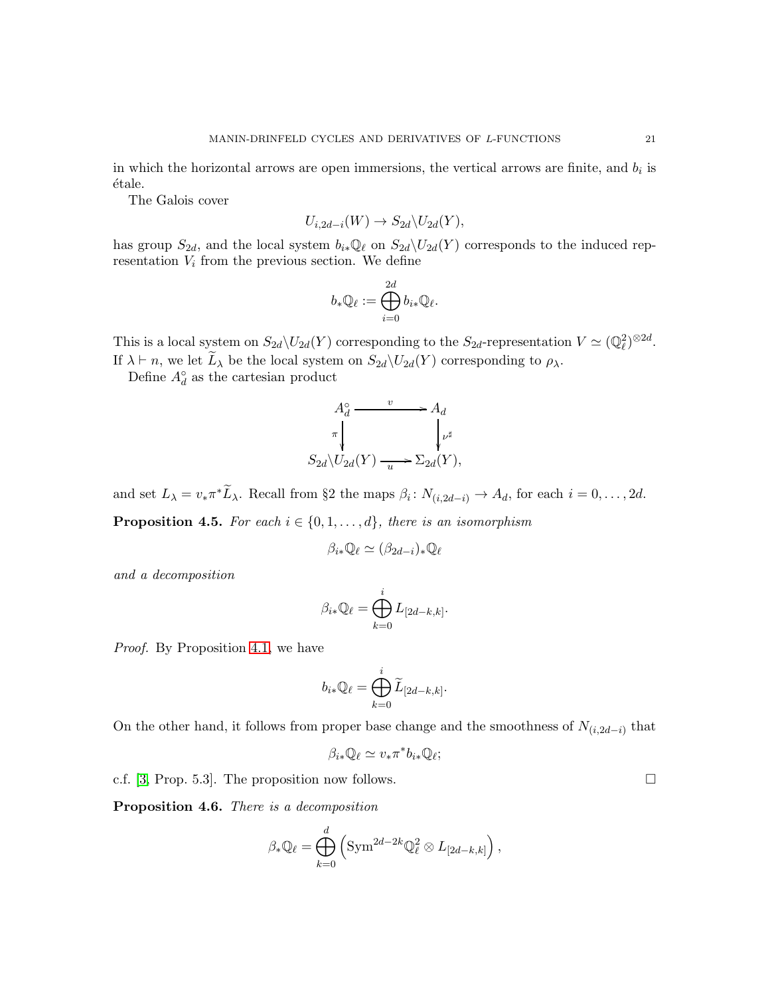in which the horizontal arrows are open immersions, the vertical arrows are finite, and  $b_i$  is  $étele.$ 

The Galois cover

$$
U_{i,2d-i}(W) \to S_{2d} \backslash U_{2d}(Y),
$$

has group  $S_{2d}$ , and the local system  $b_{i*}\mathbb{Q}_\ell$  on  $S_{2d}\backslash U_{2d}(Y)$  corresponds to the induced representation  $V_i$  from the previous section. We define

$$
b_*{\mathbb Q}_{\ell}:=\bigoplus_{i=0}^{2d}b_{i*}{\mathbb Q}_{\ell}.
$$

This is a local system on  $S_{2d} \setminus U_{2d}(Y)$  corresponding to the  $S_{2d}$ -representation  $V \simeq (\mathbb{Q}_{\ell}^2)^{\otimes 2d}$ . If  $\lambda \vdash n$ , we let  $L_{\lambda}$  be the local system on  $S_{2d}\backslash U_{2d}(Y)$  corresponding to  $\rho_{\lambda}$ .

Define  $A_d^{\circ}$  as the cartesian product

$$
A_d^{\circ} \xrightarrow{v} A_d
$$
  
\n
$$
\pi \downarrow \qquad \qquad \downarrow \qquad \qquad \downarrow \qquad \downarrow
$$
  
\n
$$
S_{2d} \setminus U_{2d}(Y) \xrightarrow{u} \Sigma_{2d}(Y),
$$

and set  $L_{\lambda} = v_* \pi^* \widetilde{L}_{\lambda}$ . Recall from §2 the maps  $\beta_i : N_{(i, 2d-i)} \to A_d$ , for each  $i = 0, ..., 2d$ .

<span id="page-20-0"></span>**Proposition 4.5.** For each  $i \in \{0, 1, \ldots, d\}$ , there is an isomorphism

$$
\beta_{i*}\mathbb{Q}_{\ell} \simeq (\beta_{2d-i})_*\mathbb{Q}_{\ell}
$$

and a decomposition

$$
\beta_{i*}\mathbb{Q}_{\ell} = \bigoplus_{k=0}^{i} L_{[2d-k,k]}.
$$

Proof. By Proposition [4.1,](#page-18-0) we have

$$
b_{i*}\mathbb{Q}_{\ell}=\bigoplus_{k=0}^{i}\widetilde{L}_{[2d-k,k]}.
$$

On the other hand, it follows from proper base change and the smoothness of  $N_{(i,2d-i)}$  that

$$
\beta_{i*}\mathbb{Q}_{\ell}\simeq v_*\pi^*b_{i*}\mathbb{Q}_{\ell};
$$

c.f. [\[3,](#page-26-5) Prop. 5.3]. The proposition now follows.  $\Box$ 

<span id="page-20-1"></span>Proposition 4.6. There is a decomposition

$$
\beta_* \mathbb{Q}_{\ell} = \bigoplus_{k=0}^d \left( \text{Sym}^{2d-2k} \mathbb{Q}_{\ell}^2 \otimes L_{[2d-k,k]} \right),
$$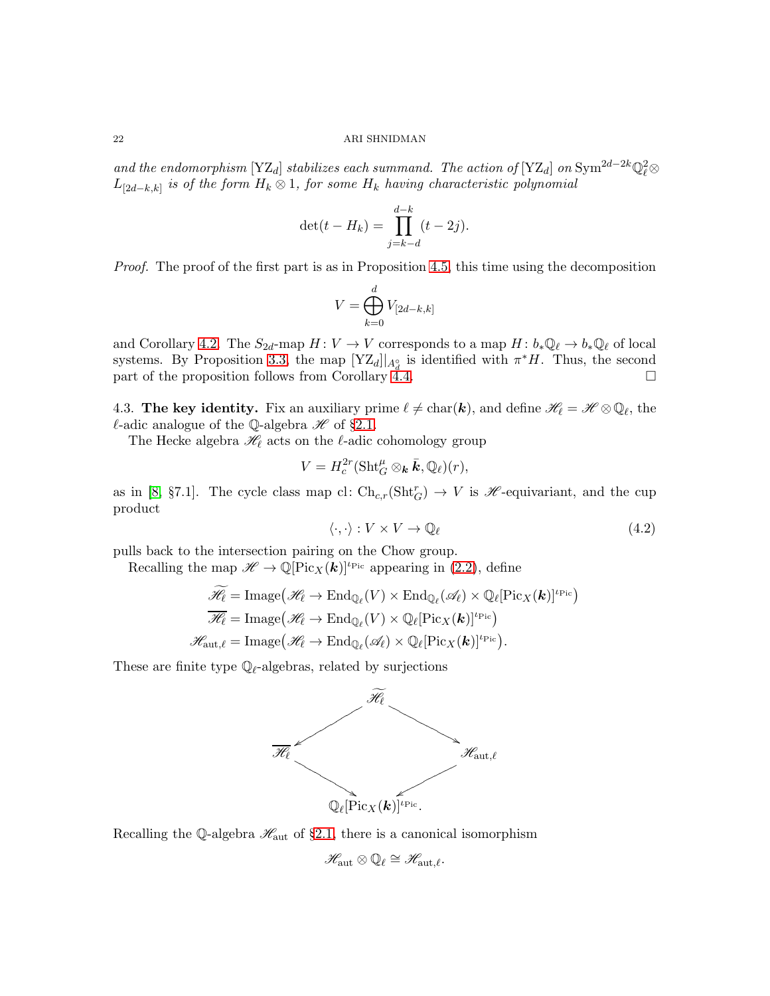and the endomorphism  $[YZ_d]$  stabilizes each summand. The action of  $[YZ_d]$  on  $\text{Sym}^{2d-2k}\mathbb{Q}_\ell^2\otimes$  $L_{[2d-k,k]}$  is of the form  $H_k \otimes 1$ , for some  $H_k$  having characteristic polynomial

$$
\det(t - H_k) = \prod_{j=k-d}^{d-k} (t - 2j).
$$

Proof. The proof of the first part is as in Proposition [4.5,](#page-20-0) this time using the decomposition

$$
V = \bigoplus_{k=0}^{d} V_{[2d-k,k]}
$$

and Corollary [4.2.](#page-18-1) The  $S_{2d}$ -map  $H: V \to V$  corresponds to a map  $H: b_*\mathbb{Q}_\ell \to b_*\mathbb{Q}_\ell$  of local systems. By Proposition [3.3,](#page-16-0) the map  $[YZ_d]|_{A_d^{\circ}}$  is identified with  $\pi^*H$ . Thus, the second part of the proposition follows from Corollary  $\overline{4.4}$ .

4.3. The key identity. Fix an auxiliary prime  $\ell \neq \text{char}(k)$ , and define  $\mathscr{H}_{\ell} = \mathscr{H} \otimes \mathbb{Q}_{\ell}$ , the l-adic analogue of the Q-algebra  $\mathscr H$  of §[2.1.](#page-5-3)

The Hecke algebra  $\mathcal{H}_{\ell}$  acts on the  $\ell$ -adic cohomology group

$$
V = H_c^{2r}(\text{Sht}_{G}^{\mu} \otimes_{\mathbf{k}} \bar{\mathbf{k}}, \mathbb{Q}_{\ell})(r),
$$

as in [\[8,](#page-26-3) §7.1]. The cycle class map cl:  $\text{Ch}_{c,r}(\text{Sht}_G^r) \to V$  is  $\mathscr{H}\text{-equivariant}$ , and the cup product

<span id="page-21-0"></span>
$$
\langle \cdot, \cdot \rangle : V \times V \to \mathbb{Q}_{\ell} \tag{4.2}
$$

pulls back to the intersection pairing on the Chow group.

Recalling the map  $\mathscr{H} \to \mathbb{Q}[\text{Pic}_X(\mathbf{k})]^{l_{\text{Pic}}}$  appearing in [\(2.2\)](#page-5-1), define

$$
\widetilde{\mathscr{H}}_{\ell} = \text{Image}(\mathscr{H}_{\ell} \to \text{End}_{\mathbb{Q}_{\ell}}(V) \times \text{End}_{\mathbb{Q}_{\ell}}(\mathscr{A}_{\ell}) \times \mathbb{Q}_{\ell}[\text{Pic}_X(\mathbf{k})]^{\iota_{\text{Pic}}})
$$

$$
\overline{\mathscr{H}}_{\ell} = \text{Image}(\mathscr{H}_{\ell} \to \text{End}_{\mathbb{Q}_{\ell}}(V) \times \mathbb{Q}_{\ell}[\text{Pic}_X(\mathbf{k})]^{\iota_{\text{Pic}}})
$$

$$
\mathscr{H}_{\text{aut},\ell} = \text{Image}(\mathscr{H}_{\ell} \to \text{End}_{\mathbb{Q}_{\ell}}(\mathscr{A}_{\ell}) \times \mathbb{Q}_{\ell}[\text{Pic}_X(\mathbf{k})]^{\iota_{\text{Pic}}}).
$$

These are finite type  $\mathbb{Q}_\ell$ -algebras, related by surjections



Recalling the Q-algebra  $\mathscr{H}_{\text{aut}}$  of §[2.1,](#page-5-3) there is a canonical isomorphism

 $\mathscr{H}_{\mathrm{aut}} \otimes \mathbb{Q}_{\ell} \cong \mathscr{H}_{\mathrm{aut}, \ell}.$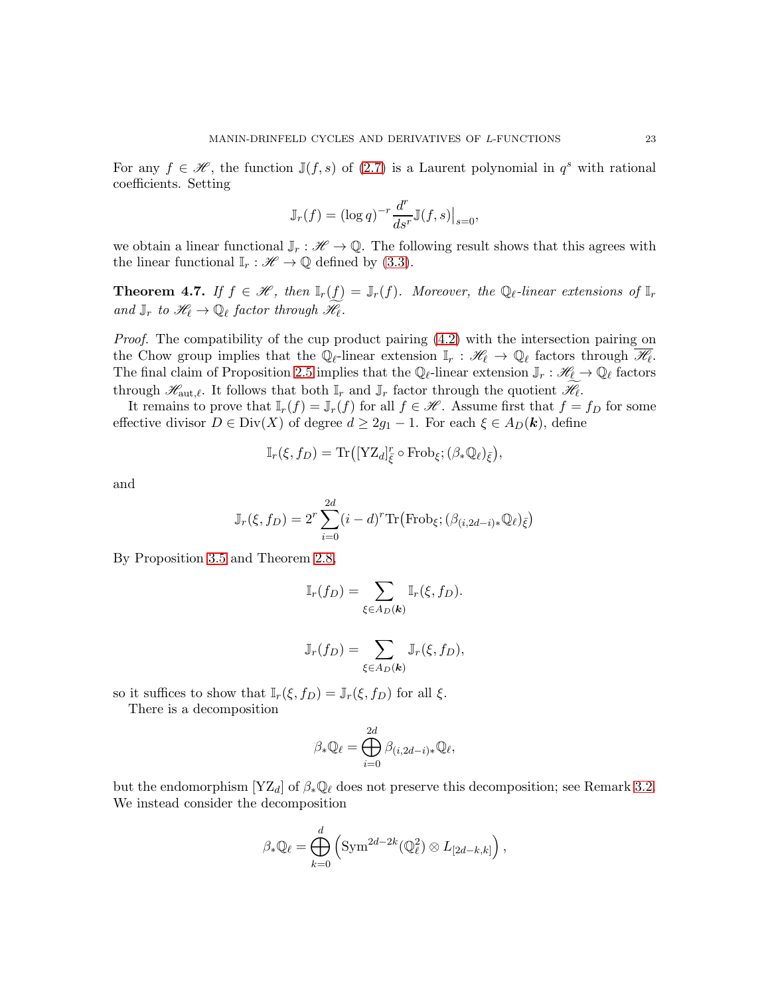For any  $f \in \mathcal{H}$ , the function  $\mathbb{J}(f, s)$  of  $(2.7)$  is a Laurent polynomial in  $q<sup>s</sup>$  with rational coefficients. Setting

$$
\mathbb{J}_r(f) = (\log q)^{-r} \frac{d^r}{ds^r} \mathbb{J}(f,s)|_{s=0},
$$

we obtain a linear functional  $\mathbb{J}_r : \mathcal{H} \to \mathbb{Q}$ . The following result shows that this agrees with the linear functional  $\mathbb{I}_r : \mathscr{H} \to \mathbb{Q}$  defined by [\(3.3\)](#page-14-1).

<span id="page-22-0"></span>**Theorem 4.7.** If  $f \in \mathcal{H}$ , then  $\mathbb{I}_r(f) = \mathbb{J}_r(f)$ . Moreover, the  $\mathbb{Q}_\ell$ -linear extensions of  $\mathbb{I}_r$ and  $\mathbb{J}_r$  to  $\mathcal{H}_\ell \to \mathbb{Q}_\ell$  factor through  $\widetilde{\mathcal{H}}_\ell$ .

Proof. The compatibility of the cup product pairing  $(4.2)$  with the intersection pairing on the Chow group implies that the  $\mathbb{Q}_{\ell}$ -linear extension  $\mathbb{I}_r : \mathcal{H}_{\ell} \to \mathbb{Q}_{\ell}$  factors through  $\overline{\mathcal{H}_{\ell}}$ . The final claim of Proposition [2.5](#page-8-1) implies that the  $\mathbb{Q}_{\ell}$ -linear extension  $\mathbb{J}_r : \mathscr{H}_{\ell} \to \mathbb{Q}_{\ell}$  factors through  $\mathscr{H}_{\mathrm{aut},\ell}$ . It follows that both  $\mathbb{I}_r$  and  $\mathbb{J}_r$  factor through the quotient  $\widetilde{\mathscr{H}}_{\ell}$ .

It remains to prove that  $\mathbb{I}_r(f) = \mathbb{J}_r(f)$  for all  $f \in \mathcal{H}$ . Assume first that  $f = f_D$  for some effective divisor  $D \in Div(X)$  of degree  $d \geq 2g_1 - 1$ . For each  $\xi \in A_D(\mathbf{k})$ , define

$$
\mathbb{I}_r(\xi, f_D) = \text{Tr} \big( [\text{YZ}_d]^r_{\xi} \circ \text{Frob}_{\xi}; (\beta_* \mathbb{Q}_\ell)_{\bar{\xi}} \big),
$$

and

$$
\mathbb{J}_r(\xi, f_D) = 2^r \sum_{i=0}^{2d} (i-d)^r \text{Tr}(\text{Frob}_{\xi}; (\beta_{(i,2d-i)*} \mathbb{Q}_\ell)_{\bar{\xi}})
$$

By Proposition [3.5](#page-17-1) and Theorem [2.8,](#page-11-2)

$$
\mathbb{I}_r(f_D) = \sum_{\xi \in A_D(\mathbf{k})} \mathbb{I}_r(\xi, f_D).
$$

$$
\mathbb{J}_r(f_D) = \sum_{\xi \in A_D(\mathbf{k})} \mathbb{J}_r(\xi, f_D),
$$

so it suffices to show that  $\mathbb{I}_r(\xi, f_D) = \mathbb{J}_r(\xi, f_D)$  for all  $\xi$ .

There is a decomposition

$$
\beta_* \mathbb{Q}_{\ell} = \bigoplus_{i=0}^{2d} \beta_{(i,2d-i)*} \mathbb{Q}_{\ell},
$$

but the endomorphism  $[YZ_d]$  of  $\beta_*\mathbb{Q}_\ell$  does not preserve this decomposition; see Remark [3.2.](#page-16-1) We instead consider the decomposition

$$
\beta_* \mathbb{Q}_{\ell} = \bigoplus_{k=0}^d \left( \text{Sym}^{2d-2k}(\mathbb{Q}_{\ell}^2) \otimes L_{[2d-k,k]} \right),
$$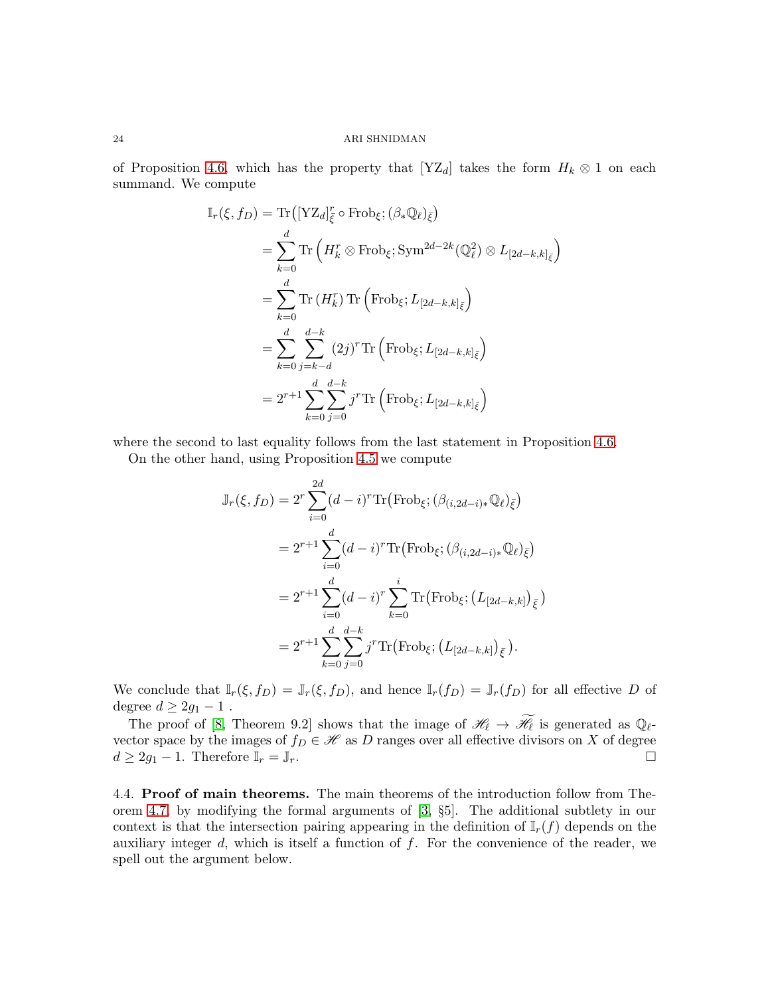of Proposition [4.6,](#page-20-1) which has the property that  $[YZ_d]$  takes the form  $H_k \otimes 1$  on each summand. We compute

$$
\begin{split} \mathbb{I}_{r}(\xi, f_D) &= \text{Tr}\left( [\text{YZ}_d]_{\bar{\xi}}^{r} \circ \text{Frob}_{\xi}; (\beta_{*} \mathbb{Q}_{\ell})_{\bar{\xi}} \right) \\ &= \sum_{k=0}^{d} \text{Tr}\left( H_{k}^{r} \otimes \text{Frob}_{\xi}; \text{Sym}^{2d-2k}(\mathbb{Q}_{\ell}^{2}) \otimes L_{[2d-k,k]_{\bar{\xi}}} \right) \\ &= \sum_{k=0}^{d} \text{Tr}\left( H_{k}^{r} \right) \text{Tr}\left( \text{Frob}_{\xi}; L_{[2d-k,k]_{\bar{\xi}}} \right) \\ &= \sum_{k=0}^{d} \sum_{j=k-d}^{d-k} (2j)^{r} \text{Tr}\left( \text{Frob}_{\xi}; L_{[2d-k,k]_{\bar{\xi}}} \right) \\ &= 2^{r+1} \sum_{k=0}^{d} \sum_{j=0}^{d-k} j^{r} \text{Tr}\left( \text{Frob}_{\xi}; L_{[2d-k,k]_{\bar{\xi}}} \right) \end{split}
$$

where the second to last equality follows from the last statement in Proposition [4.6.](#page-20-1)

On the other hand, using Proposition [4.5](#page-20-0) we compute

$$
\mathbb{J}_r(\xi, f_D) = 2^r \sum_{i=0}^{2d} (d-i)^r \text{Tr}(\text{Frob}_{\xi}; (\beta_{(i, 2d-i)*} \mathbb{Q}_\ell)_{\bar{\xi}})
$$
  
\n
$$
= 2^{r+1} \sum_{i=0}^d (d-i)^r \text{Tr}(\text{Frob}_{\xi}; (\beta_{(i, 2d-i)*} \mathbb{Q}_\ell)_{\bar{\xi}})
$$
  
\n
$$
= 2^{r+1} \sum_{i=0}^d (d-i)^r \sum_{k=0}^i \text{Tr}(\text{Frob}_{\xi}; (L_{[2d-k,k]})_{\bar{\xi}})
$$
  
\n
$$
= 2^{r+1} \sum_{k=0}^d \sum_{j=0}^d j^r \text{Tr}(\text{Frob}_{\xi}; (L_{[2d-k,k]})_{\bar{\xi}}).
$$

We conclude that  $\mathbb{I}_r(\xi, f_D) = \mathbb{J}_r(\xi, f_D)$ , and hence  $\mathbb{I}_r(f_D) = \mathbb{J}_r(f_D)$  for all effective D of degree  $d \geq 2g_1 - 1$ .

The proof of [\[8,](#page-26-3) Theorem 9.2] shows that the image of  $\mathcal{H}_{\ell} \to \widetilde{\mathcal{H}}_{\ell}$  is generated as  $\mathbb{Q}_{\ell}$ vector space by the images of  $f_D \in \mathcal{H}$  as D ranges over all effective divisors on X of degree  $d \geq 2g_1 - 1$ . Therefore  $\mathbb{I}_r = \mathbb{J}_r$ .

4.4. Proof of main theorems. The main theorems of the introduction follow from Theorem [4.7,](#page-22-0) by modifying the formal arguments of [\[3,](#page-26-5) §5]. The additional subtlety in our context is that the intersection pairing appearing in the definition of  $\mathbb{I}_r(f)$  depends on the auxiliary integer  $d$ , which is itself a function of  $f$ . For the convenience of the reader, we spell out the argument below.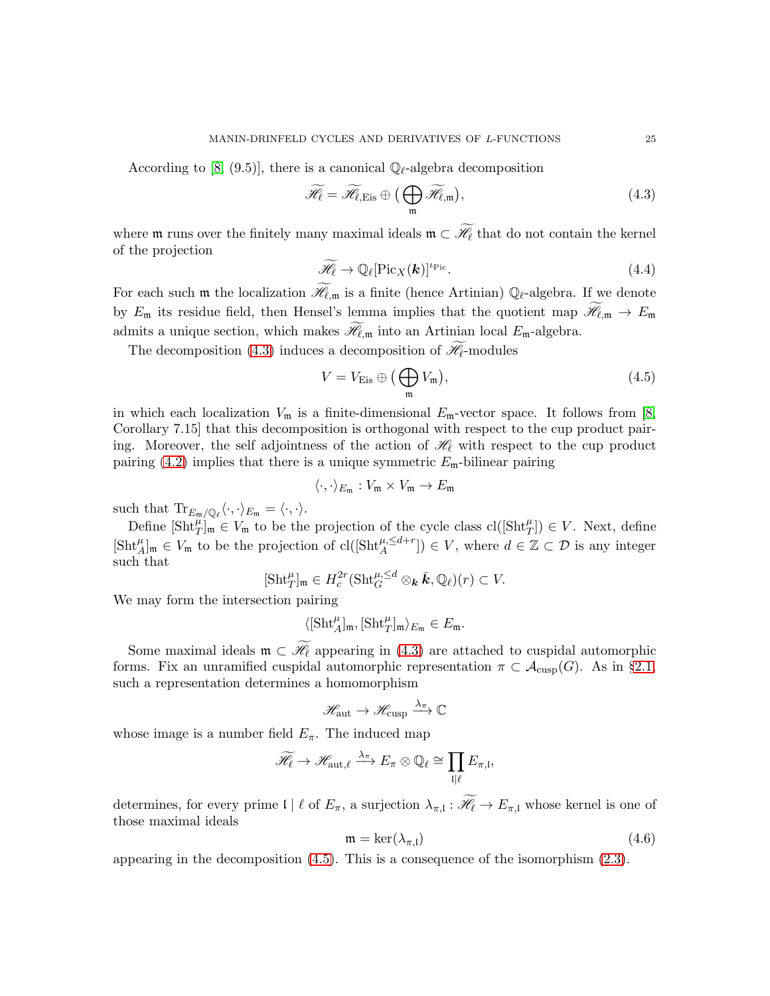According to [\[8,](#page-26-3) (9.5)], there is a canonical  $\mathbb{Q}_{\ell}$ -algebra decomposition

<span id="page-24-0"></span>
$$
\widetilde{\mathcal{H}}_{\ell} = \widetilde{\mathcal{H}}_{\ell,Eis} \oplus \big(\bigoplus_{\mathfrak{m}} \widetilde{\mathcal{H}}_{\ell,\mathfrak{m}}\big),\tag{4.3}
$$

where m runs over the finitely many maximal ideals  $m \subset \widetilde{\mathcal{H}}_l$  that do not contain the kernel of the projection

<span id="page-24-2"></span>
$$
\widetilde{\mathscr{H}}_{\ell} \to \mathbb{Q}_{\ell}[\text{Pic}_X(\mathbf{k})]^{\ell_{\text{Pic}}}.
$$
\n(4.4)

For each such m the localization  $\mathcal{H}_{\ell,m}$  is a finite (hence Artinian)  $\mathbb{Q}_{\ell}$ -algebra. If we denote by  $E_{\mathfrak{m}}$  its residue field, then Hensel's lemma implies that the quotient map  $\widetilde{\mathscr{H}}_{\ell,m} \to E_{\mathfrak{m}}$ admits a unique section, which makes  $\widetilde{\mathcal{H}}_{\ell,m}$  into an Artinian local  $E_m$ -algebra.

The decomposition [\(4.3\)](#page-24-0) induces a decomposition of  $\mathcal{H}_{\ell}$ -modules

<span id="page-24-1"></span>
$$
V = V_{\text{Eis}} \oplus \left(\bigoplus_{\mathfrak{m}} V_{\mathfrak{m}}\right),\tag{4.5}
$$

in which each localization  $V_m$  is a finite-dimensional  $E_m$ -vector space. It follows from [\[8,](#page-26-3) Corollary 7.15] that this decomposition is orthogonal with respect to the cup product pairing. Moreover, the self adjointness of the action of  $\mathcal{H}_{\ell}$  with respect to the cup product pairing [\(4.2\)](#page-21-0) implies that there is a unique symmetric  $E_{\rm m}$ -bilinear pairing

$$
\langle \cdot, \cdot \rangle_{E_{\mathfrak{m}}} : V_{\mathfrak{m}} \times V_{\mathfrak{m}} \to E_{\mathfrak{m}}
$$

such that  $\text{Tr}_{E_{\mathfrak{m}}/\mathbb{Q}_{\ell}}\langle \cdot, \cdot \rangle_{E_{\mathfrak{m}}} = \langle \cdot, \cdot \rangle$ .

Define  $[\text{Sht}_{T}^{\mu}]_{\mathfrak{m}} \in V_{\mathfrak{m}}$  to be the projection of the cycle class  $\text{cl}([\text{Sht}_{T}^{\mu}]) \in V$ . Next, define  $[\text{Sht}_{A}^{\mu}]_{\mathfrak{m}} \in V_{\mathfrak{m}}$  to be the projection of  $\text{cl}([\text{Sht}_{A}^{\mu, \leq d+r}]) \in V$ , where  $d \in \mathbb{Z} \subset \mathcal{D}$  is any integer such that

$$
[\text{Sht}^{\mu}_T]_{\mathfrak{m}} \in H^{2r}_c(\text{Sht}^{\mu, \leq d}_G \otimes_{\pmb{k}} \bar{\pmb{k}}, \mathbb{Q}_{\ell})(r) \subset V.
$$

We may form the intersection pairing

$$
\langle [\textnormal{Sht}^{\mu}_A]_{\mathfrak{m}},[\textnormal{Sht}^{\mu}_T]_{\mathfrak{m}} \rangle_{E_{\mathfrak{m}}} \in E_{\mathfrak{m}}.
$$

Some maximal ideals  $\mathfrak{m} \subset \widetilde{\mathcal{H}}_{\ell}$  appearing in [\(4.3\)](#page-24-0) are attached to cuspidal automorphic forms. Fix an unramified cuspidal automorphic representation  $\pi \subset \mathcal{A}_{\text{cusp}}(G)$ . As in §[2.1,](#page-5-3) such a representation determines a homomorphism

$$
\mathscr{H}_{\rm aut}\to\mathscr{H}_{\rm cusp}\xrightarrow{\lambda_\pi}\mathbb{C}
$$

whose image is a number field  $E_{\pi}$ . The induced map

$$
\widetilde{\mathscr{H}}_\ell \to \mathscr{H}_{{\rm aut}, \ell} \xrightarrow{\lambda_\pi} E_\pi \otimes \mathbb{Q}_\ell \cong \prod_{\mathfrak{l} \mid \ell} E_{\pi, \mathfrak{l}},
$$

determines, for every prime  $l \mid \ell$  of  $E_{\pi}$ , a surjection  $\lambda_{\pi,l} : \widetilde{\mathscr{H}}_{\ell} \to E_{\pi,l}$  whose kernel is one of those maximal ideals

<span id="page-24-3"></span>
$$
\mathfrak{m} = \ker(\lambda_{\pi,\mathfrak{l}}) \tag{4.6}
$$

appearing in the decomposition [\(4.5\)](#page-24-1). This is a consequence of the isomorphism [\(2.3\)](#page-6-2).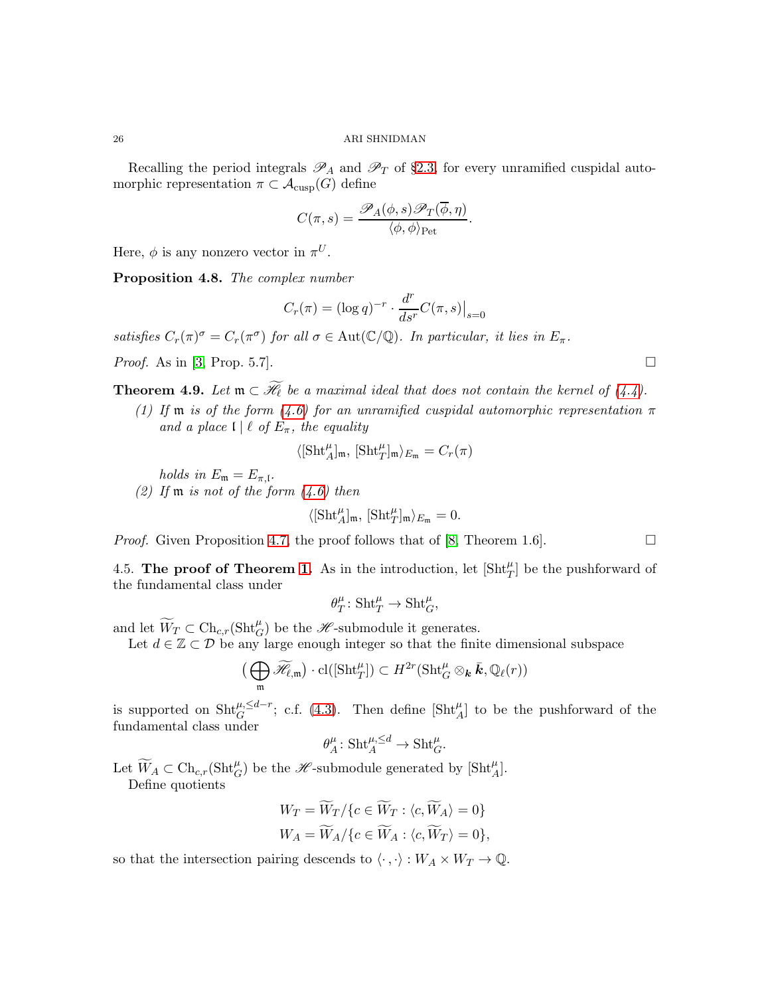Recalling the period integrals  $\mathscr{P}_A$  and  $\mathscr{P}_T$  of §[2.3,](#page-8-2) for every unramified cuspidal automorphic representation  $\pi \subset \mathcal{A}_{\text{cusp}}(G)$  define

$$
C(\pi,s)=\frac{\mathscr{P}_A(\phi,s)\mathscr{P}_T(\overline{\phi},\eta)}{\langle\phi,\phi\rangle_{\text{Pet}}}.
$$

Here,  $\phi$  is any nonzero vector in  $\pi^U$ .

Proposition 4.8. The complex number

$$
C_r(\pi) = (\log q)^{-r} \cdot \frac{d^r}{ds^r} C(\pi, s)|_{s=0}
$$

satisfies  $C_r(\pi)^\sigma = C_r(\pi^\sigma)$  for all  $\sigma \in \text{Aut}(\mathbb{C}/\mathbb{Q})$ . In particular, it lies in  $E_\pi$ .

*Proof.* As in [\[3,](#page-26-5) Prop. 5.7].

<span id="page-25-0"></span>**Theorem 4.9.** Let  $\mathfrak{m} \subset \mathcal{H}_{\ell}$  be a maximal ideal that does not contain the kernel of [\(4.4\)](#page-24-2).

(1) If  $m$  is of the form [\(4.6\)](#page-24-3) for an unramified cuspidal automorphic representation  $\pi$ and a place  $\mathfrak{l} \mid \ell$  of  $E_{\pi}$ , the equality

$$
\langle [\textnormal{Sht}^{\mu}_A]_{\mathfrak{m}},\,[\textnormal{Sht}^{\mu}_T]_{\mathfrak{m}} \rangle_{E_{\mathfrak{m}}}=C_r(\pi)
$$

holds in  $E_{\mathfrak{m}} = E_{\pi,\mathfrak{l}}$ . (2) If  $m$  is not of the form  $(4.6)$  then

$$
\langle [\textnormal{Sht}^{\mu}_A]_{\mathfrak{m}},\,[\textnormal{Sht}^{\mu}_T]_{\mathfrak{m}}\rangle_{E_{\mathfrak{m}}}=0.
$$

*Proof.* Given Proposition [4.7,](#page-22-0) the proof follows that of [\[8,](#page-26-3) Theorem 1.6].

4.5. The proof of Theorem [1.](#page-2-0) As in the introduction, let  $[\text{Sht}_T^{\mu}]$  be the pushforward of the fundamental class under

> $\theta_{\mathcal{T}}^{\mu}$  $T^{\mu}$ : Sht $T^{\mu}$   $\rightarrow$  Sht $G^{\mu}$ ,

and let  $\widetilde{W}_T \subset \text{Ch}_{c,r}(\text{Sht}_G^{\mu})$  be the  $\mathscr{H}$ -submodule it generates.

Let  $d \in \mathbb{Z} \subset \mathcal{D}$  be any large enough integer so that the finite dimensional subspace

$$
\big(\bigoplus_{\mathfrak{m}} \widetilde{\mathscr{H}}_{\ell,\mathfrak{m}}\big)\cdot \mathrm{cl}([\textnormal{Sht}^{\mu}_T])\subset H^{2r}(\textnormal{Sht}^{\mu}_G\otimes_{\pmb{k}}\bar{\pmb{k}},\mathbb{Q}_{\ell}(r))
$$

is supported on  $\text{Sht}_{G}^{\mu,\leq d-r}$ ; c.f. [\(4.3\)](#page-24-0). Then define  $[\text{Sht}_{A}^{\mu}]$  to be the pushforward of the fundamental class under

$$
\theta_A^{\mu} \colon \text{Sht}_A^{\mu, \leq d} \to \text{Sht}_G^{\mu}.
$$

Let  $\widetilde{W}_A \subset \text{Ch}_{c,r}(\text{Sht}_G^{\mu})$  be the  $\mathscr{H}$ -submodule generated by  $[\text{Sht}_A^{\mu}].$ Define quotients

$$
W_T = \widetilde{W}_T / \{c \in \widetilde{W}_T : \langle c, \widetilde{W}_A \rangle = 0\}
$$
  

$$
W_A = \widetilde{W}_A / \{c \in \widetilde{W}_A : \langle c, \widetilde{W}_T \rangle = 0\},
$$

so that the intersection pairing descends to  $\langle \cdot, \cdot \rangle : W_A \times W_T \to \mathbb{Q}$ .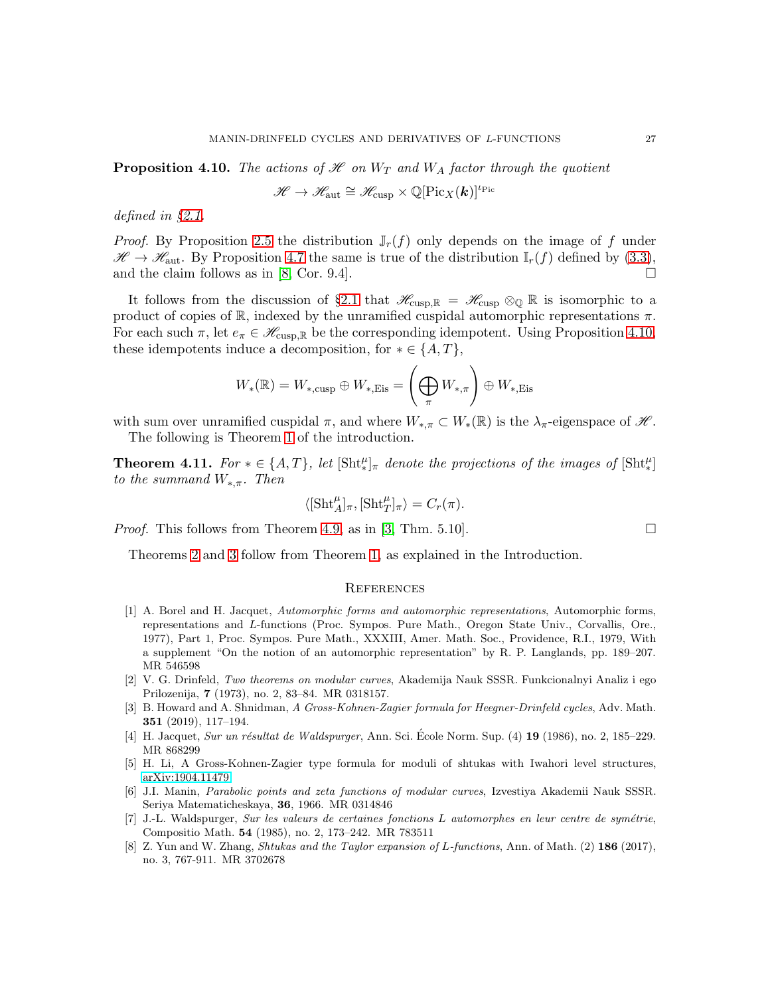<span id="page-26-7"></span>**Proposition 4.10.** The actions of  $\mathcal{H}$  on  $W_T$  and  $W_A$  factor through the quotient

$$
\mathscr{H} \to \mathscr{H}_\mathrm{aut} \cong \mathscr{H}_\mathrm{cusp} \times \mathbb{Q}[\mathrm{Pic}_X(\bm{k})]^{\mathrm{tPic}}
$$

defined in §[2.1.](#page-5-3)

*Proof.* By Proposition [2.5](#page-8-1) the distribution  $\mathbb{J}_r(f)$  only depends on the image of f under  $\mathscr{H} \to \mathscr{H}_{\text{aut}}$ . By Proposition [4.7](#page-22-0) the same is true of the distribution  $\mathbb{I}_r(f)$  defined by [\(3.3\)](#page-14-1), and the claim follows as in [\[8,](#page-26-3) Cor. 9.4].

It follows from the discussion of §[2.1](#page-5-3) that  $\mathscr{H}_{\text{cusp},\mathbb{R}} = \mathscr{H}_{\text{cusp}} \otimes_{\mathbb{Q}} \mathbb{R}$  is isomorphic to a product of copies of R, indexed by the unramified cuspidal automorphic representations  $\pi$ . For each such  $\pi$ , let  $e_{\pi} \in \mathscr{H}_{\text{cusp},\mathbb{R}}$  be the corresponding idempotent. Using Proposition [4.10,](#page-26-7) these idempotents induce a decomposition, for  $* \in \{A, T\},\$ 

$$
W_*(\mathbb{R})=W_{*,\text{cusp}}\oplus W_{*,\text{Eis}}=\left(\bigoplus_{\pi}W_{*,\pi}\right)\oplus W_{*,\text{Eis}}
$$

with sum over unramified cuspidal  $\pi$ , and where  $W_{*,\pi} \subset W_*(\mathbb{R})$  is the  $\lambda_{\pi}$ -eigenspace of  $\mathscr{H}$ . The following is Theorem [1](#page-2-0) of the introduction.

**Theorem 4.11.** For  $* \in \{A, T\}$ , let  $[\text{Sht}^{\mu}_{*}]_{\pi}$  denote the projections of the images of  $[\text{Sht}^{\mu}_{*}]$ to the summand  $W_{*,\pi}$ . Then

$$
\langle [\textnormal{Sht}^{\mu}_A]_{\pi}, [\textnormal{Sht}^{\mu}_T]_{\pi} \rangle = C_r(\pi).
$$

*Proof.* This follows from Theorem [4.9,](#page-25-0) as in [\[3,](#page-26-5) Thm. 5.10].

Theorems [2](#page-3-1) and [3](#page-3-0) follow from Theorem [1,](#page-2-0) as explained in the Introduction.

## **REFERENCES**

- <span id="page-26-6"></span>[1] A. Borel and H. Jacquet, Automorphic forms and automorphic representations, Automorphic forms, representations and L-functions (Proc. Sympos. Pure Math., Oregon State Univ., Corvallis, Ore., 1977), Part 1, Proc. Sympos. Pure Math., XXXIII, Amer. Math. Soc., Providence, R.I., 1979, With a supplement "On the notion of an automorphic representation" by R. P. Langlands, pp. 189–207. MR 546598
- <span id="page-26-1"></span>[2] V. G. Drinfeld, Two theorems on modular curves, Akademija Nauk SSSR. Funkcionalnyi Analiz i ego Prilozenija, 7 (1973), no. 2, 83–84. MR 0318157.
- <span id="page-26-5"></span>[3] B. Howard and A. Shnidman, A Gross-Kohnen-Zagier formula for Heegner-Drinfeld cycles, Adv. Math. 351 (2019), 117–194.
- <span id="page-26-4"></span>[4] H. Jacquet, Sur un résultat de Waldspurger, Ann. Sci. École Norm. Sup. (4)  $19$  (1986), no. 2, 185–229. MR 868299
- <span id="page-26-2"></span>[5] H. Li, A Gross-Kohnen-Zagier type formula for moduli of shtukas with Iwahori level structures, [arXiv:1904.11479.](http://arxiv.org/abs/1904.11479)
- [6] J.I. Manin, Parabolic points and zeta functions of modular curves, Izvestiya Akademii Nauk SSSR. Seriya Matematicheskaya, 36, 1966. MR 0314846
- <span id="page-26-0"></span> $[7]$  J.-L. Waldspurger, Sur les valeurs de certaines fonctions L automorphes en leur centre de symétrie, Compositio Math. 54 (1985), no. 2, 173–242. MR 783511
- <span id="page-26-3"></span>[8] Z. Yun and W. Zhang, *Shtukas and the Taylor expansion of L-functions*, Ann. of Math. (2) **186** (2017), no. 3, 767-911. MR 3702678